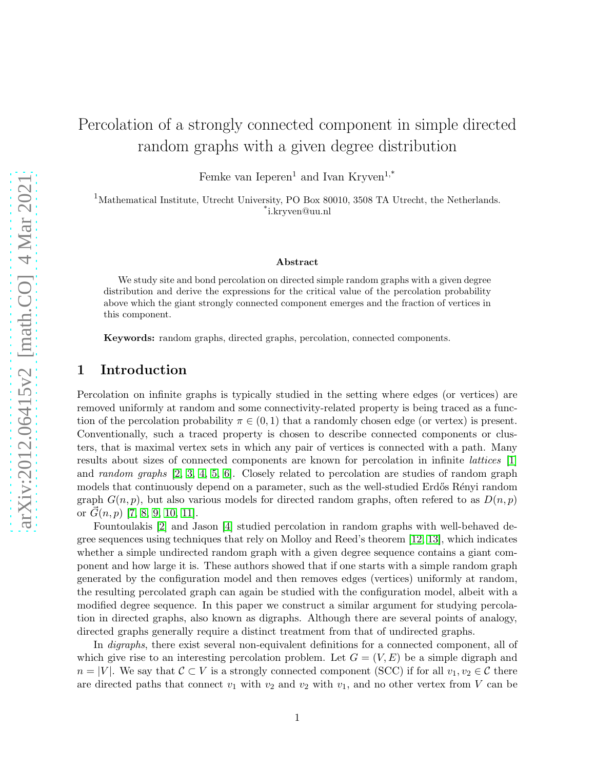# Percolation of a strongly connected component in simple directed random graphs with a given degree distribution

Femke van Ieperen<sup>1</sup> and Ivan Kryven<sup>1,\*</sup>

<sup>1</sup>Mathematical Institute, Utrecht University, PO Box 80010, 3508 TA Utrecht, the Netherlands. \* i.kryven@uu.nl

#### Abstract

We study site and bond percolation on directed simple random graphs with a given degree distribution and derive the expressions for the critical value of the percolation probability above which the giant strongly connected component emerges and the fraction of vertices in this component.

Keywords: random graphs, directed graphs, percolation, connected components.

## 1 Introduction

Percolation on infinite graphs is typically studied in the setting where edges (or vertices) are removed uniformly at random and some connectivity-related property is being traced as a function of the percolation probability  $\pi \in (0,1)$  that a randomly chosen edge (or vertex) is present. Conventionally, such a traced property is chosen to describe connected components or clusters, that is maximal vertex sets in which any pair of vertices is connected with a path. Many results about sizes of connected components are known for percolation in infinite lattices [\[1\]](#page-22-0) and random graphs  $[2, 3, 4, 5, 6]$  $[2, 3, 4, 5, 6]$  $[2, 3, 4, 5, 6]$  $[2, 3, 4, 5, 6]$  $[2, 3, 4, 5, 6]$ . Closely related to percolation are studies of random graph models that continuously depend on a parameter, such as the well-studied Erdős Rényi random graph  $G(n, p)$ , but also various models for directed random graphs, often refered to as  $D(n, p)$ or  $G(n, p)$  [\[7,](#page-23-3) [8,](#page-23-4) [9,](#page-23-5) [10,](#page-23-6) [11\]](#page-23-7).

Fountoulakis [\[2\]](#page-22-1) and Jason [\[4\]](#page-23-0) studied percolation in random graphs with well-behaved degree sequences using techniques that rely on Molloy and Reed's theorem [\[12,](#page-23-8) [13\]](#page-23-9), which indicates whether a simple undirected random graph with a given degree sequence contains a giant component and how large it is. These authors showed that if one starts with a simple random graph generated by the configuration model and then removes edges (vertices) uniformly at random, the resulting percolated graph can again be studied with the configuration model, albeit with a modified degree sequence. In this paper we construct a similar argument for studying percolation in directed graphs, also known as digraphs. Although there are several points of analogy, directed graphs generally require a distinct treatment from that of undirected graphs.

In *digraphs*, there exist several non-equivalent definitions for a connected component, all of which give rise to an interesting percolation problem. Let  $G = (V, E)$  be a simple digraph and  $n = |V|$ . We say that  $C \subset V$  is a strongly connected component (SCC) if for all  $v_1, v_2 \in C$  there are directed paths that connect  $v_1$  with  $v_2$  and  $v_2$  with  $v_1$ , and no other vertex from V can be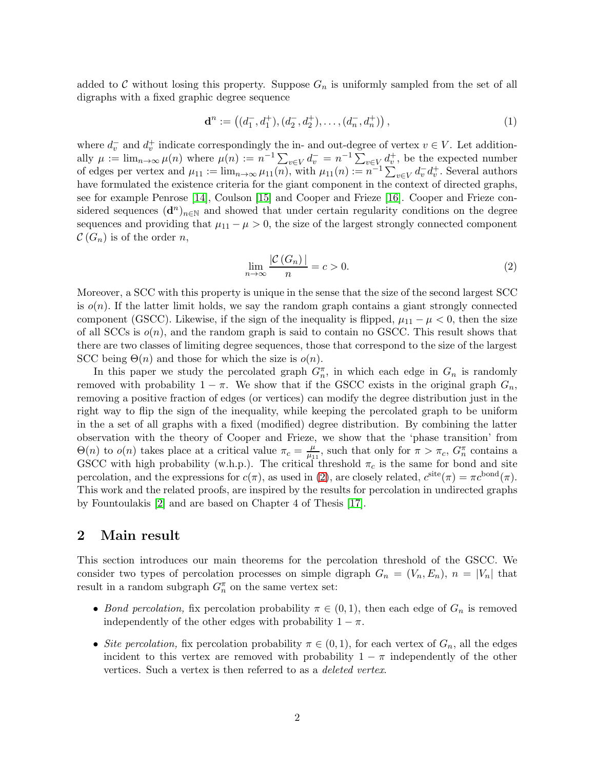added to C without losing this property. Suppose  $G_n$  is uniformly sampled from the set of all digraphs with a fixed graphic degree sequence

$$
\mathbf{d}^n := \left( (d_1^-, d_1^+), (d_2^-, d_2^+), \dots, (d_n^-, d_n^+) \right),\tag{1}
$$

where  $d_v^-$  and  $d_v^+$  indicate correspondingly the in- and out-degree of vertex  $v \in V$ . Let additionally  $\mu := \lim_{n \to \infty} \mu(n)$  where  $\mu(n) := n^{-1} \sum_{v \in V} d_v^- = n^{-1} \sum_{v \in V} d_v^+$ , be the expected number of edges per vertex and  $\mu_{11} := \lim_{n \to \infty} \mu_{11}(n)$ , with  $\mu_{11}(n) := n^{-1} \sum_{v \in V} d_v^- d_v^+$ . Several authors have formulated the existence criteria for the giant component in the context of directed graphs, see for example Penrose [\[14\]](#page-23-10), Coulson [\[15\]](#page-23-11) and Cooper and Frieze [\[16\]](#page-23-12). Cooper and Frieze considered sequences  $(d^n)_{n\in\mathbb{N}}$  and showed that under certain regularity conditions on the degree sequences and providing that  $\mu_{11} - \mu > 0$ , the size of the largest strongly connected component  $\mathcal{C}(G_n)$  is of the order n,

<span id="page-1-1"></span><span id="page-1-0"></span>
$$
\lim_{n \to \infty} \frac{|\mathcal{C}(G_n)|}{n} = c > 0.
$$
\n(2)

Moreover, a SCC with this property is unique in the sense that the size of the second largest SCC is  $o(n)$ . If the latter limit holds, we say the random graph contains a giant strongly connected component (GSCC). Likewise, if the sign of the inequality is flipped,  $\mu_{11} - \mu < 0$ , then the size of all SCCs is  $o(n)$ , and the random graph is said to contain no GSCC. This result shows that there are two classes of limiting degree sequences, those that correspond to the size of the largest SCC being  $\Theta(n)$  and those for which the size is  $o(n)$ .

In this paper we study the percolated graph  $G_n^{\pi}$ , in which each edge in  $G_n$  is randomly removed with probability  $1 - \pi$ . We show that if the GSCC exists in the original graph  $G_n$ , removing a positive fraction of edges (or vertices) can modify the degree distribution just in the right way to flip the sign of the inequality, while keeping the percolated graph to be uniform in the a set of all graphs with a fixed (modified) degree distribution. By combining the latter observation with the theory of Cooper and Frieze, we show that the 'phase transition' from  $\Theta(n)$  to  $o(n)$  takes place at a critical value  $\pi_c = \frac{\mu}{\mu_1}$  $\frac{\mu}{\mu_{11}}$ , such that only for  $\pi > \pi_c$ ,  $G_n^{\pi}$  contains a GSCC with high probability (w.h.p.). The critical threshold  $\pi_c$  is the same for bond and site percolation, and the expressions for  $c(\pi)$ , as used in [\(2\)](#page-1-0), are closely related,  $c^{\text{site}}(\pi) = \pi c^{\text{bond}}(\pi)$ . This work and the related proofs, are inspired by the results for percolation in undirected graphs by Fountoulakis [\[2\]](#page-22-1) and are based on Chapter 4 of Thesis [\[17\]](#page-23-13).

## <span id="page-1-2"></span>2 Main result

This section introduces our main theorems for the percolation threshold of the GSCC. We consider two types of percolation processes on simple digraph  $G_n = (V_n, E_n)$ ,  $n = |V_n|$  that result in a random subgraph  $G_n^{\pi}$  on the same vertex set:

- Bond percolation, fix percolation probability  $\pi \in (0,1)$ , then each edge of  $G_n$  is removed independently of the other edges with probability  $1 - \pi$ .
- Site percolation, fix percolation probability  $\pi \in (0,1)$ , for each vertex of  $G_n$ , all the edges incident to this vertex are removed with probability  $1 - \pi$  independently of the other vertices. Such a vertex is then referred to as a deleted vertex.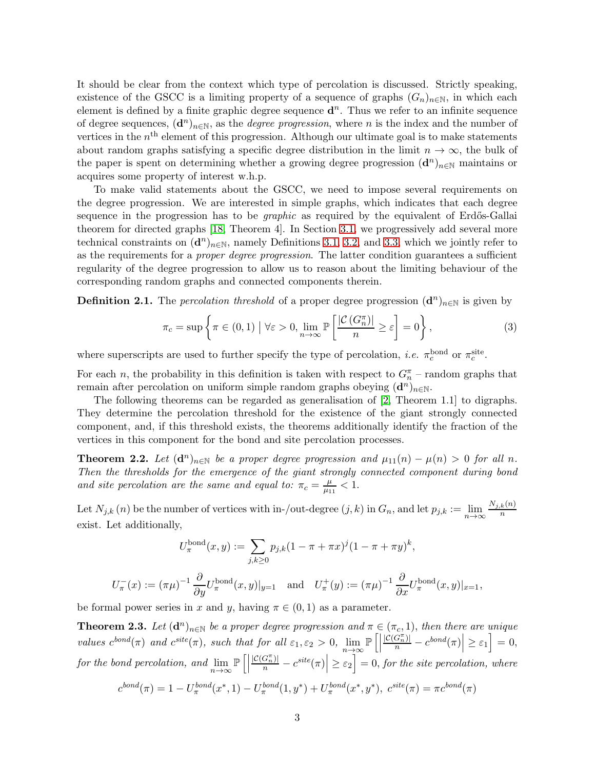It should be clear from the context which type of percolation is discussed. Strictly speaking, existence of the GSCC is a limiting property of a sequence of graphs  $(G_n)_{n\in\mathbb{N}}$ , in which each element is defined by a finite graphic degree sequence  $\mathbf{d}^n$ . Thus we refer to an infinite sequence of degree sequences,  $(d^n)_{n\in\mathbb{N}}$ , as the *degree progression*, where n is the index and the number of vertices in the  $n<sup>th</sup>$  element of this progression. Although our ultimate goal is to make statements about random graphs satisfying a specific degree distribution in the limit  $n \to \infty$ , the bulk of the paper is spent on determining whether a growing degree progression  $(d^n)_{n\in\mathbb{N}}$  maintains or acquires some property of interest w.h.p.

To make valid statements about the GSCC, we need to impose several requirements on the degree progression. We are interested in simple graphs, which indicates that each degree sequence in the progression has to be *graphic* as required by the equivalent of Erdős-Gallai theorem for directed graphs [\[18,](#page-23-14) Theorem 4]. In Section [3.1,](#page-3-0) we progressively add several more technical constraints on  $(d^n)_{n\in\mathbb{N}}$ , namely Definitions [3.1,](#page-3-1) [3.2,](#page-3-2) and [3.3,](#page-4-0) which we jointly refer to as the requirements for a *proper degree progression*. The latter condition guarantees a sufficient regularity of the degree progression to allow us to reason about the limiting behaviour of the corresponding random graphs and connected components therein.

**Definition 2.1.** The *percolation threshold* of a proper degree progression  $(d^n)_{n\in\mathbb{N}}$  is given by

$$
\pi_c = \sup \left\{ \pi \in (0, 1) \; \middle| \; \forall \varepsilon > 0, \lim_{n \to \infty} \mathbb{P} \left[ \frac{|\mathcal{C}(G_n^{\pi})|}{n} \ge \varepsilon \right] = 0 \right\},\tag{3}
$$

where superscripts are used to further specify the type of percolation, *i.e.*  $\pi_c^{\text{bond}}$  or  $\pi_c^{\text{site}}$ .

For each n, the probability in this definition is taken with respect to  $G_n^{\pi}$  – random graphs that remain after percolation on uniform simple random graphs obeying  $(d^n)_{n\in\mathbb{N}}$ .

The following theorems can be regarded as generalisation of [\[2,](#page-22-1) Theorem 1.1] to digraphs. They determine the percolation threshold for the existence of the giant strongly connected component, and, if this threshold exists, the theorems additionally identify the fraction of the vertices in this component for the bond and site percolation processes.

<span id="page-2-0"></span>**Theorem 2.2.** Let  $(d^n)_{n\in\mathbb{N}}$  be a proper degree progression and  $\mu_{11}(n) - \mu(n) > 0$  for all n. Then the thresholds for the emergence of the giant strongly connected component during bond and site percolation are the same and equal to:  $\pi_c = \frac{\mu}{\mu_1}$  $\frac{\mu}{\mu_{11}} < 1.$ 

Let  $N_{j,k}(n)$  be the number of vertices with in-/out-degree  $(j,k)$  in  $G_n$ , and let  $p_{j,k} := \lim_{n\to\infty} \frac{N_{j,k}(n)}{n}$ n exist. Let additionally,

$$
U_{\pi}^{\text{bond}}(x, y) := \sum_{j,k \ge 0} p_{j,k} (1 - \pi + \pi x)^j (1 - \pi + \pi y)^k,
$$

$$
U_{\pi}^{-}(x) := (\pi \mu)^{-1} \frac{\partial}{\partial y} U_{\pi}^{\text{bond}}(x, y)|_{y=1} \quad \text{and} \quad U_{\pi}^{+}(y) := (\pi \mu)^{-1} \frac{\partial}{\partial x} U_{\pi}^{\text{bond}}(x, y)|_{x=1},
$$

be formal power series in x and y, having  $\pi \in (0,1)$  as a parameter.

<span id="page-2-1"></span>**Theorem 2.3.** Let  $(d^n)_{n\in\mathbb{N}}$  be a proper degree progression and  $\pi \in (\pi_c, 1)$ , then there are unique values  $c^{bond}(\pi)$  and  $c^{site}(\pi)$ , such that for all  $\varepsilon_1, \varepsilon_2 > 0$ ,  $\lim_{n \to \infty} \mathbb{P}\left[\right]$  $\left|\frac{\mathcal{C}(G_n^{\pi})}{n}-c^{bond}(\pi)\right|\geq \varepsilon_1\right]=0,$ for the bond percolation, and  $\lim_{n\to\infty} \mathbb{P}\left[\right]$  $\left|\frac{\mathcal{C}(G_n^{\pi})}{n}-c^{site}(\pi)\right| \geq \varepsilon_2\right] = 0$ , for the site percolation, where

$$
c^{bond}(\pi) = 1 - U_{\pi}^{bond}(x^*, 1) - U_{\pi}^{bond}(1, y^*) + U_{\pi}^{bond}(x^*, y^*), \ c^{site}(\pi) = \pi c^{bond}(\pi)
$$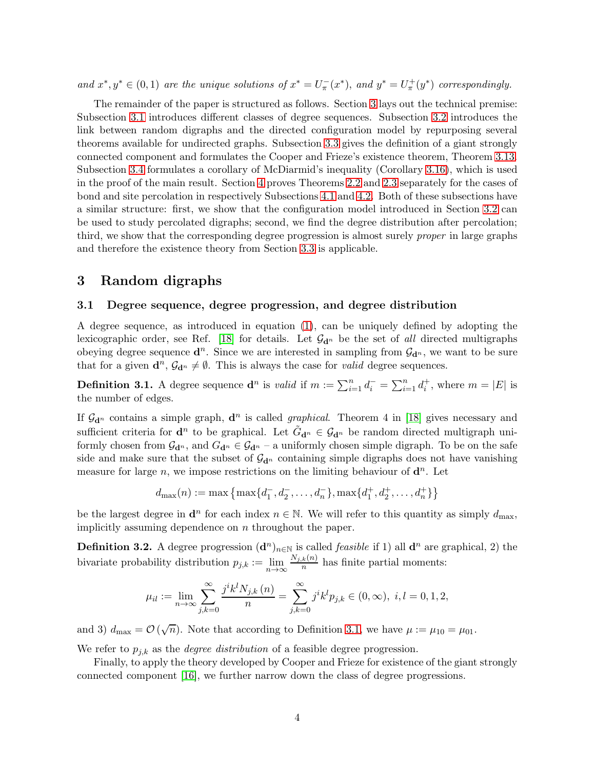and  $x^*, y^* \in (0, 1)$  are the unique solutions of  $x^* = U_\pi^-(x^*)$ , and  $y^* = U_\pi^+(y^*)$  correspondingly.

The remainder of the paper is structured as follows. Section [3](#page-3-3) lays out the technical premise: Subsection [3.1](#page-3-0) introduces different classes of degree sequences. Subsection [3.2](#page-4-1) introduces the link between random digraphs and the directed configuration model by repurposing several theorems available for undirected graphs. Subsection [3.3](#page-5-0) gives the definition of a giant strongly connected component and formulates the Cooper and Frieze's existence theorem, Theorem [3.13.](#page-6-0) Subsection [3.4](#page-6-1) formulates a corollary of McDiarmid's inequality (Corollary [3.16\)](#page-7-0), which is used in the proof of the main result. Section [4](#page-8-0) proves Theorems [2.2](#page-2-0) and [2.3](#page-2-1) separately for the cases of bond and site percolation in respectively Subsections [4.1](#page-8-1) and [4.2.](#page-15-0) Both of these subsections have a similar structure: first, we show that the configuration model introduced in Section [3.2](#page-4-1) can be used to study percolated digraphs; second, we find the degree distribution after percolation; third, we show that the corresponding degree progression is almost surely *proper* in large graphs and therefore the existence theory from Section [3.3](#page-5-0) is applicable.

## <span id="page-3-3"></span><span id="page-3-0"></span>3 Random digraphs

#### 3.1 Degree sequence, degree progression, and degree distribution

A degree sequence, as introduced in equation [\(1\)](#page-1-1), can be uniquely defined by adopting the lexicographic order, see Ref. [\[18\]](#page-23-14) for details. Let  $\mathcal{G}_{d^n}$  be the set of all directed multigraphs obeying degree sequence  $\mathbf{d}^n$ . Since we are interested in sampling from  $\mathcal{G}_{\mathbf{d}^n}$ , we want to be sure that for a given  $\mathbf{d}^n$ ,  $\mathcal{G}_{\mathbf{d}^n} \neq \emptyset$ . This is always the case for *valid* degree sequences.

<span id="page-3-1"></span>**Definition 3.1.** A degree sequence  $\mathbf{d}^n$  is *valid* if  $m := \sum_{i=1}^n d_i^- = \sum_{i=1}^n d_i^+$ , where  $m = |E|$  is the number of edges.

If  $\mathcal{G}_{d^n}$  contains a simple graph,  $d^n$  is called *graphical*. Theorem 4 in [\[18\]](#page-23-14) gives necessary and sufficient criteria for  $\mathbf{d}^n$  to be graphical. Let  $\tilde{G}_{\mathbf{d}^n} \in \mathcal{G}_{\mathbf{d}^n}$  be random directed multigraph uniformly chosen from  $\mathcal{G}_{d^n}$ , and  $G_{d^n} \in \mathcal{G}_{d^n}$  – a uniformly chosen simple digraph. To be on the safe side and make sure that the subset of  $\mathcal{G}_{d^n}$  containing simple digraphs does not have vanishing measure for large n, we impose restrictions on the limiting behaviour of  $\mathbf{d}^n$ . Let

$$
d_{\max}(n) := \max \left\{ \max \{d_1^-, d_2^-, \dots, d_n^-\}, \max \{d_1^+, d_2^+, \dots, d_n^+\} \right\}
$$

be the largest degree in  $\mathbf{d}^n$  for each index  $n \in \mathbb{N}$ . We will refer to this quantity as simply  $d_{\text{max}}$ , implicitly assuming dependence on n throughout the paper.

<span id="page-3-2"></span>**Definition 3.2.** A degree progression  $(d^n)_{n\in\mathbb{N}}$  is called *feasible* if 1) all  $d^n$  are graphical, 2) the bivariate probability distribution  $p_{j,k} := \lim_{n \to \infty} \frac{N_{j,k}(n)}{n}$  $\frac{k(n)}{n}$  has finite partial moments:

$$
\mu_{il} := \lim_{n \to \infty} \sum_{j,k=0}^{\infty} \frac{j^i k^l N_{j,k}(n)}{n} = \sum_{j,k=0}^{\infty} j^i k^l p_{j,k} \in (0, \infty), \ i, l = 0, 1, 2,
$$

and 3)  $d_{\text{max}} = \mathcal{O}(\sqrt{n})$ . Note that according to Definition [3.1,](#page-3-1) we have  $\mu := \mu_{10} = \mu_{01}$ .

We refer to  $p_{j,k}$  as the *degree distribution* of a feasible degree progression.

Finally, to apply the theory developed by Cooper and Frieze for existence of the giant strongly connected component [\[16\]](#page-23-12), we further narrow down the class of degree progressions.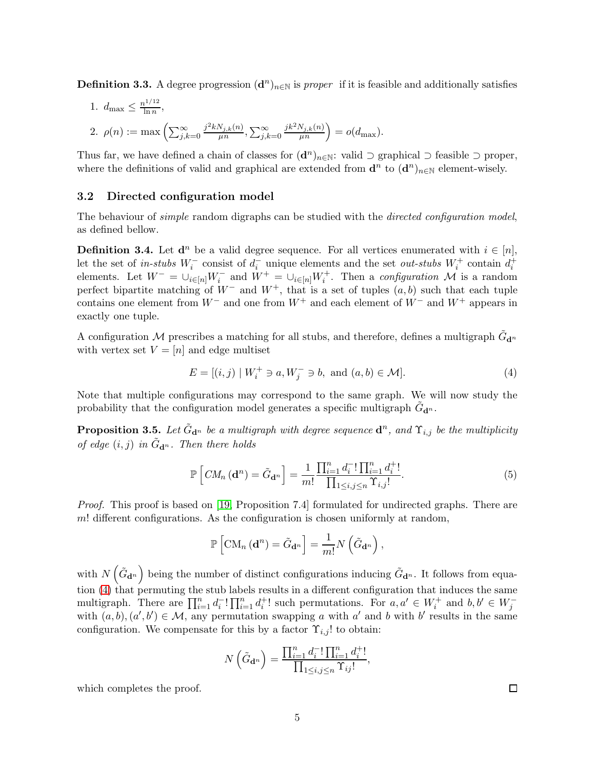<span id="page-4-0"></span>**Definition 3.3.** A degree progression  $(d^n)_{n\in\mathbb{N}}$  is proper if it is feasible and additionally satisfies

1. 
$$
d_{\max} \le \frac{n^{1/12}}{\ln n}
$$
,  
\n2.  $\rho(n) := \max \left( \sum_{j,k=0}^{\infty} \frac{j^2 k N_{j,k}(n)}{\mu n}, \sum_{j,k=0}^{\infty} \frac{j k^2 N_{j,k}(n)}{\mu n} \right) = o(d_{\max}).$ 

Thus far, we have defined a chain of classes for  $(d^n)_{n \in \mathbb{N}}$ : valid  $\supset$  graphical  $\supset$  feasible  $\supset$  proper, where the definitions of valid and graphical are extended from  $\mathbf{d}^n$  to  $(\mathbf{d}^n)_{n\in\mathbb{N}}$  element-wisely.

#### <span id="page-4-1"></span>3.2 Directed configuration model

The behaviour of *simple* random digraphs can be studied with the *directed configuration model*, as defined bellow.

**Definition 3.4.** Let  $\mathbf{d}^n$  be a valid degree sequence. For all vertices enumerated with  $i \in [n]$ , let the set of in-stubs  $W_i^-$  consist of  $d_i^-$  unique elements and the set *out-stubs*  $W_i^+$  contain  $d_i^+$  elements. Let  $W^- = \bigcup_{i \in [n]} W_i^-$  and  $W^+ = \bigcup_{i \in [n]} W_i^+$ . Then a *configuration*  $\mathcal M$  is a random perfect bipartite matching of  $W^-$  and  $W^+$ , that is a set of tuples  $(a, b)$  such that each tuple contains one element from  $W^-$  and one from  $W^+$  and each element of  $W^-$  and  $W^+$  appears in exactly one tuple.

A configuration M prescribes a matching for all stubs, and therefore, defines a multigraph  $\tilde{G}_{\mathbf{d}^n}$ with vertex set  $V = [n]$  and edge multiset

<span id="page-4-2"></span>
$$
E = [(i, j) | W_i^+ \ni a, W_j^- \ni b, \text{ and } (a, b) \in \mathcal{M}].
$$
 (4)

Note that multiple configurations may correspond to the same graph. We will now study the probability that the configuration model generates a specific multigraph  $\tilde{G}_{\mathbf{d}^n}$ .

**Proposition 3.5.** Let  $\tilde{G}_{\mathbf{d}^n}$  be a multigraph with degree sequence  $\mathbf{d}^n$ , and  $\Upsilon_{i,j}$  be the multiplicity of edge  $(i, j)$  in  $\tilde{G}_{d^n}$ . Then there holds

$$
\mathbb{P}\left[CM_n\left(\mathbf{d}^n\right) = \tilde{G}_{\mathbf{d}^n}\right] = \frac{1}{m!} \frac{\prod_{i=1}^n d_i^{-1} \prod_{i=1}^n d_i^{+1}}{\prod_{1 \le i,j \le n} \Upsilon_{i,j}!}.
$$
\n(5)

*Proof.* This proof is based on [\[19,](#page-23-15) Proposition 7.4] formulated for undirected graphs. There are  $m!$  different configurations. As the configuration is chosen uniformly at random,

<span id="page-4-3"></span>
$$
\mathbb{P}\left[\mathrm{CM}_{n}\left(\mathbf{d}^{n}\right)=\tilde{G}_{\mathbf{d}^{n}}\right]=\frac{1}{m!}N\left(\tilde{G}_{\mathbf{d}^{n}}\right),
$$

with  $N\left(\tilde{G}_{\mathbf{d}^n}\right)$  being the number of distinct configurations inducing  $\tilde{G}_{\mathbf{d}^n}$ . It follows from equation  $(4)$  that permuting the stub labels results in a different configuration that induces the same multigraph. There are  $\prod_{i=1}^n d_i^{-1} \prod_{i=1}^n d_i^{+1}$  such permutations. For  $a, a' \in W_i^+$  and  $b, b' \in W_j^$ with  $(a, b), (a', b') \in \mathcal{M}$ , any permutation swapping a with a' and b with b' results in the same configuration. We compensate for this by a factor  $\Upsilon_{i,j}!$  to obtain:

$$
N\left(\tilde{G}_{\mathbf{d}^n}\right) = \frac{\prod_{i=1}^n d_i^{-1} \prod_{i=1}^n d_i^{+1}}{\prod_{1 \le i,j \le n} \Upsilon_{ij}!},
$$

which completes the proof.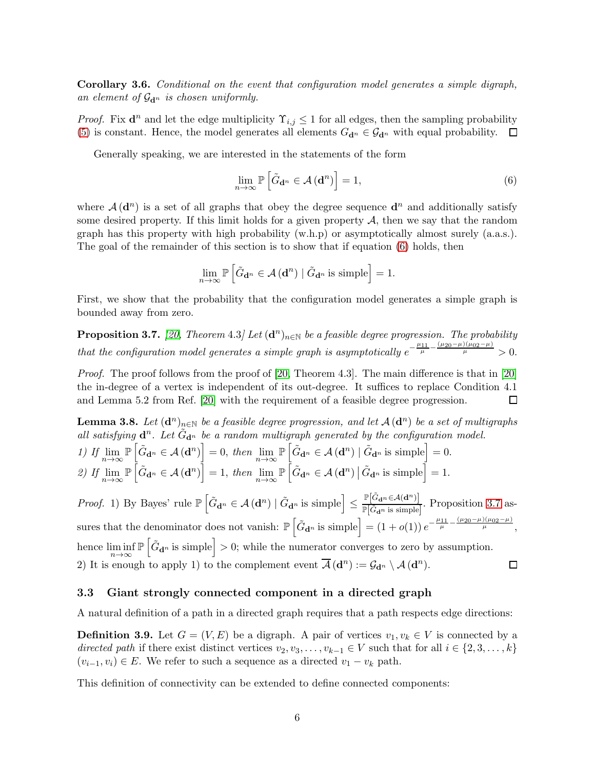Corollary 3.6. Conditional on the event that configuration model generates a simple digraph, an element of  $\mathcal{G}_{d^n}$  is chosen uniformly.

*Proof.* Fix  $\mathbf{d}^n$  and let the edge multiplicity  $\Upsilon_{i,j} \leq 1$  for all edges, then the sampling probability [\(5\)](#page-4-3) is constant. Hence, the model generates all elements  $G_{\mathbf{d}^n} \in \mathcal{G}_{\mathbf{d}^n}$  with equal probability.  $\Box$ 

Generally speaking, we are interested in the statements of the form

<span id="page-5-1"></span>
$$
\lim_{n \to \infty} \mathbb{P}\left[\tilde{G}_{\mathbf{d}^n} \in \mathcal{A}\left(\mathbf{d}^n\right)\right] = 1,\tag{6}
$$

where  $\mathcal{A}(\mathbf{d}^n)$  is a set of all graphs that obey the degree sequence  $\mathbf{d}^n$  and additionally satisfy some desired property. If this limit holds for a given property  $A$ , then we say that the random graph has this property with high probability  $(w.h.p)$  or asymptotically almost surely  $(a.a.s.)$ . The goal of the remainder of this section is to show that if equation [\(6\)](#page-5-1) holds, then

$$
\lim_{n \to \infty} \mathbb{P}\left[\tilde{G}_{\mathbf{d}^n} \in \mathcal{A}(\mathbf{d}^n) \mid \tilde{G}_{\mathbf{d}^n} \text{ is simple}\right] = 1.
$$

First, we show that the probability that the configuration model generates a simple graph is bounded away from zero.

<span id="page-5-2"></span>**Proposition 3.7.** [\[20,](#page-24-0) Theorem 4.3] Let  $(\mathbf{d}^n)_{n\in\mathbb{N}}$  be a feasible degree progression. The probability that the configuration model generates a simple graph is asymptotically  $e^{-\frac{\mu_{11}}{\mu} - \frac{(\mu_{20} - \mu)(\mu_{02} - \mu)}{\mu}} > 0$ .

Proof. The proof follows from the proof of [\[20,](#page-24-0) Theorem 4.3]. The main difference is that in [\[20\]](#page-24-0) the in-degree of a vertex is independent of its out-degree. It suffices to replace Condition 4.1 and Lemma 5.2 from Ref. [\[20\]](#page-24-0) with the requirement of a feasible degree progression.  $\Box$ 

<span id="page-5-3"></span>**Lemma 3.8.** Let  $(d^n)_{n\in\mathbb{N}}$  be a feasible degree progression, and let  $\mathcal{A}(d^n)$  be a set of multigraphs all satisfying  $\mathbf{d}^n$ . Let  $\tilde{G}_{\mathbf{d}^n}$  be a random multigraph generated by the configuration model.

1) If 
$$
\lim_{n \to \infty} \mathbb{P}\left[\tilde{G}_{\mathbf{d}^n} \in \mathcal{A}(\mathbf{d}^n)\right] = 0
$$
, then  $\lim_{n \to \infty} \mathbb{P}\left[\tilde{G}_{\mathbf{d}^n} \in \mathcal{A}(\mathbf{d}^n) \mid \tilde{G}_{\mathbf{d}^n}$  is simple  $\right] = 0$ .  
\n2) If  $\lim_{n \to \infty} \mathbb{P}\left[\tilde{G}_{\mathbf{d}^n} \in \mathcal{A}(\mathbf{d}^n)\right] = 1$ , then  $\lim_{n \to \infty} \mathbb{P}\left[\tilde{G}_{\mathbf{d}^n} \in \mathcal{A}(\mathbf{d}^n) \mid \tilde{G}_{\mathbf{d}^n}$  is simple  $\right] = 1$ .

*Proof.* 1) By Bayes' rule  $\mathbb{P}\left[\tilde{G}_{\mathbf{d}^n} \in \mathcal{A}(\mathbf{d}^n) \mid \tilde{G}_{\mathbf{d}^n} \text{ is simple}\right] \leq$  $\mathbb{P}\big[\tilde{G}_{\mathbf{d}^n} \hspace{-0.1cm}\in\hspace{-0.1cm} \mathcal{A}(\mathbf{d}^n)\big]$  $\frac{\mathbb{P}\left[G_{\mathbf{d}^n}\subseteq\mathcal{S}\backslash\left(\mathbf{d}^n\right)\right]}{\mathbb{P}\left[\tilde{G}_{\mathbf{d}^n}\text{ is simple}\right]}.$  Proposition [3.7](#page-5-2) assures that the denominator does not vanish:  $\mathbb{P}\left[\tilde{G}_{\mathbf{d}^n} \text{ is simple}\right] = (1+o(1)) e^{-\frac{\mu_{11}}{\mu} - \frac{(\mu_{20}-\mu)(\mu_{02}-\mu)}{\mu}},$  $\mathbb{P}\left[\tilde{G}_{d^n}\right]$  is simple  $\geq 0$ ; while the numerator converges to zero by assumption. hence  $\liminf_{n\to\infty}$ 2) It is enough to apply 1) to the complement event  $\overline{\mathcal{A}}(\mathbf{d}^n) := \mathcal{G}_{\mathbf{d}^n} \setminus \mathcal{A}(\mathbf{d}^n)$ .  $\Box$ 

#### <span id="page-5-0"></span>3.3 Giant strongly connected component in a directed graph

A natural definition of a path in a directed graph requires that a path respects edge directions:

**Definition 3.9.** Let  $G = (V, E)$  be a digraph. A pair of vertices  $v_1, v_k \in V$  is connected by a directed path if there exist distinct vertices  $v_2, v_3, \ldots, v_{k-1} \in V$  such that for all  $i \in \{2, 3, \ldots, k\}$  $(v_{i-1}, v_i) \in E$ . We refer to such a sequence as a directed  $v_1 - v_k$  path.

This definition of connectivity can be extended to define connected components: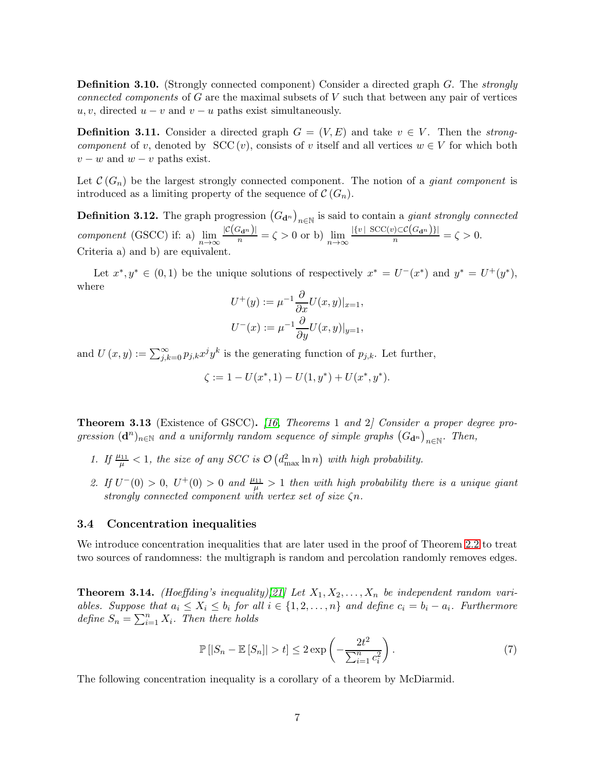**Definition 3.10.** (Strongly connected component) Consider a directed graph  $G$ . The strongly connected components of  $G$  are the maximal subsets of  $V$  such that between any pair of vertices  $u, v$ , directed  $u - v$  and  $v - u$  paths exist simultaneously.

**Definition 3.11.** Consider a directed graph  $G = (V, E)$  and take  $v \in V$ . Then the *strong*component of v, denoted by  $SCC(v)$ , consists of v itself and all vertices  $w \in V$  for which both  $v - w$  and  $w - v$  paths exist.

Let  $\mathcal{C}(G_n)$  be the largest strongly connected component. The notion of a *giant component* is introduced as a limiting property of the sequence of  $\mathcal{C}(G_n)$ .

**Definition 3.12.** The graph progression  $(G_{\mathbf{d}^n})_{n \in \mathbb{N}}$  is said to contain a *giant strongly connected* component (GSCC) if: a)  $\lim_{n \to \infty} \frac{|C(G_{\mathbf{d}^n})|}{n} = \zeta > 0$  or b)  $\lim_{n \to \infty} \frac{|\{v \mid \text{SCC}(v) \subset C(G_{\mathbf{d}^n})\}|}{n} = \zeta > 0$ . Criteria a) and b) are equivalent.

Let  $x^*, y^* \in (0,1)$  be the unique solutions of respectively  $x^* = U^-(x^*)$  and  $y^* = U^+(y^*),$ where

$$
U^+(y) := \mu^{-1} \frac{\partial}{\partial x} U(x, y)|_{x=1},
$$
  

$$
U^-(x) := \mu^{-1} \frac{\partial}{\partial y} U(x, y)|_{y=1},
$$

and  $U(x, y) := \sum_{j,k=0}^{\infty} p_{j,k} x^j y^k$  is the generating function of  $p_{j,k}$ . Let further,

$$
\zeta := 1 - U(x^*, 1) - U(1, y^*) + U(x^*, y^*).
$$

<span id="page-6-0"></span>**Theorem 3.13** (Existence of GSCC). [\[16,](#page-23-12) Theorems 1 and 2] Consider a proper degree progression  $(d^n)_{n\in\mathbb{N}}$  and a uniformly random sequence of simple graphs  $(G_{d^n})_{n\in\mathbb{N}}$ . Then,

- 1. If  $\frac{\mu_{11}}{\mu}$  < 1, the size of any SCC is  $\mathcal{O}\left(d_{\max}^2 \ln n\right)$  with high probability.
- 2. If  $U^-(0) > 0$ ,  $U^+(0) > 0$  and  $\frac{\mu_{11}}{\mu} > 1$  then with high probability there is a unique giant strongly connected component with vertex set of size ζn.

#### <span id="page-6-1"></span>3.4 Concentration inequalities

We introduce concentration inequalities that are later used in the proof of Theorem [2.2](#page-2-0) to treat two sources of randomness: the multigraph is random and percolation randomly removes edges.

<span id="page-6-2"></span>**Theorem 3.14.** (Hoeffding's inequality)[\[21\]](#page-24-1) Let  $X_1, X_2, \ldots, X_n$  be independent random variables. Suppose that  $a_i \leq X_i \leq b_i$  for all  $i \in \{1, 2, ..., n\}$  and define  $c_i = b_i - a_i$ . Furthermore define  $S_n = \sum_{i=1}^n X_i$ . Then there holds

$$
\mathbb{P}\left[|S_n - \mathbb{E}\left[S_n\right]\right] > t\right] \le 2 \exp\left(-\frac{2t^2}{\sum_{i=1}^n c_i^2}\right). \tag{7}
$$

The following concentration inequality is a corollary of a theorem by McDiarmid.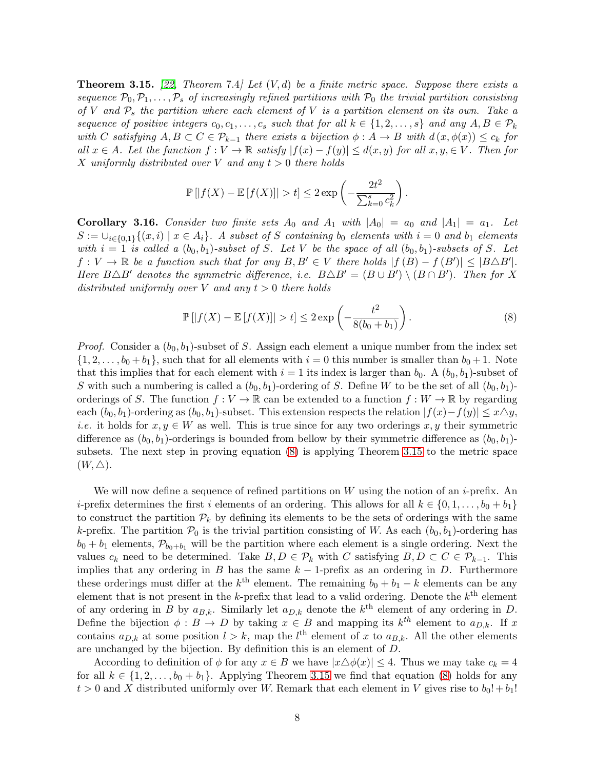<span id="page-7-2"></span>**Theorem 3.15.** [\[22,](#page-24-2) Theorem 7.4] Let  $(V, d)$  be a finite metric space. Suppose there exists a sequence  $\mathcal{P}_0, \mathcal{P}_1, \ldots, \mathcal{P}_s$  of increasingly refined partitions with  $\mathcal{P}_0$  the trivial partition consisting of V and  $P_s$  the partition where each element of V is a partition element on its own. Take a sequence of positive integers  $c_0, c_1, \ldots, c_s$  such that for all  $k \in \{1, 2, \ldots, s\}$  and any  $A, B \in \mathcal{P}_k$ with C satisfying  $A, B \subset C \in \mathcal{P}_{k-1}$  there exists a bijection  $\phi : A \to B$  with  $d(x, \phi(x)) \leq c_k$  for all  $x \in A$ . Let the function  $f: V \to \mathbb{R}$  satisfy  $|f(x) - f(y)| \leq d(x, y)$  for all  $x, y \in V$ . Then for X uniformly distributed over V and any  $t > 0$  there holds

$$
\mathbb{P}\left[|f(X) - \mathbb{E}\left[f(X)\right]\right| > t\right] \leq 2\exp\left(-\frac{2t^2}{\sum_{k=0}^s c_k^2}\right)
$$

<span id="page-7-0"></span>Corollary 3.16. Consider two finite sets  $A_0$  and  $A_1$  with  $|A_0| = a_0$  and  $|A_1| = a_1$ . Let  $S := \bigcup_{i \in \{0,1\}} \{(x,i) \mid x \in A_i\}.$  A subset of S containing b<sub>0</sub> elements with  $i = 0$  and  $b_1$  elements with  $i = 1$  is called a  $(b_0, b_1)$ -subset of S. Let V be the space of all  $(b_0, b_1)$ -subsets of S. Let  $f: V \to \mathbb{R}$  be a function such that for any  $B, B' \in V$  there holds  $|f(B) - f(B')| \leq |B \triangle B'|$ . Here  $B \triangle B'$  denotes the symmetric difference, i.e.  $B \triangle B' = (B \cup B') \setminus (B \cap B')$ . Then for X distributed uniformly over V and any  $t > 0$  there holds

$$
\mathbb{P}\left[|f(X) - \mathbb{E}\left[f(X)\right]\right| > t\right] \leq 2\exp\left(-\frac{t^2}{8(b_0 + b_1)}\right). \tag{8}
$$

<span id="page-7-1"></span>.

*Proof.* Consider a  $(b_0, b_1)$ -subset of S. Assign each element a unique number from the index set  $\{1, 2, \ldots, b_0 + b_1\}$ , such that for all elements with  $i = 0$  this number is smaller than  $b_0 + 1$ . Note that this implies that for each element with  $i = 1$  its index is larger than  $b_0$ . A  $(b_0, b_1)$ -subset of S with such a numbering is called a  $(b_0, b_1)$ -ordering of S. Define W to be the set of all  $(b_0, b_1)$ orderings of S. The function  $f: V \to \mathbb{R}$  can be extended to a function  $f: W \to \mathbb{R}$  by regarding each  $(b_0, b_1)$ -ordering as  $(b_0, b_1)$ -subset. This extension respects the relation  $|f(x)-f(y)| \leq x \triangle y$ , *i.e.* it holds for  $x, y \in W$  as well. This is true since for any two orderings x, y their symmetric difference as  $(b_0, b_1)$ -orderings is bounded from bellow by their symmetric difference as  $(b_0, b_1)$ subsets. The next step in proving equation [\(8\)](#page-7-1) is applying Theorem [3.15](#page-7-2) to the metric space  $(W, \triangle)$ .

We will now define a sequence of refined partitions on  $W$  using the notion of an *i*-prefix. An i-prefix determines the first i elements of an ordering. This allows for all  $k \in \{0, 1, \ldots, b_0 + b_1\}$ to construct the partition  $\mathcal{P}_k$  by defining its elements to be the sets of orderings with the same k-prefix. The partition  $P_0$  is the trivial partition consisting of W. As each  $(b_0, b_1)$ -ordering has  $b_0 + b_1$  elements,  $\mathcal{P}_{b_0+b_1}$  will be the partition where each element is a single ordering. Next the values  $c_k$  need to be determined. Take  $B, D \in \mathcal{P}_k$  with C satisfying  $B, D \subset C \in \mathcal{P}_{k-1}$ . This implies that any ordering in B has the same  $k-1$ -prefix as an ordering in D. Furthermore these orderings must differ at the  $k^{\text{th}}$  element. The remaining  $b_0 + b_1 - k$  elements can be any element that is not present in the k-prefix that lead to a valid ordering. Denote the  $k^{\text{th}}$  element of any ordering in B by  $a_{B,k}$ . Similarly let  $a_{D,k}$  denote the  $k^{\text{th}}$  element of any ordering in D. Define the bijection  $\phi : B \to D$  by taking  $x \in B$  and mapping its  $k^{th}$  element to  $a_{D,k}$ . If x contains  $a_{D,k}$  at some position  $l > k$ , map the  $l^{\text{th}}$  element of x to  $a_{B,k}$ . All the other elements are unchanged by the bijection. By definition this is an element of D.

According to definition of  $\phi$  for any  $x \in B$  we have  $|x \triangle \phi(x)| \leq 4$ . Thus we may take  $c_k = 4$ for all  $k \in \{1, 2, \ldots, b_0 + b_1\}$ . Applying Theorem [3.15](#page-7-2) we find that equation [\(8\)](#page-7-1) holds for any  $t > 0$  and X distributed uniformly over W. Remark that each element in V gives rise to  $b_0! + b_1!$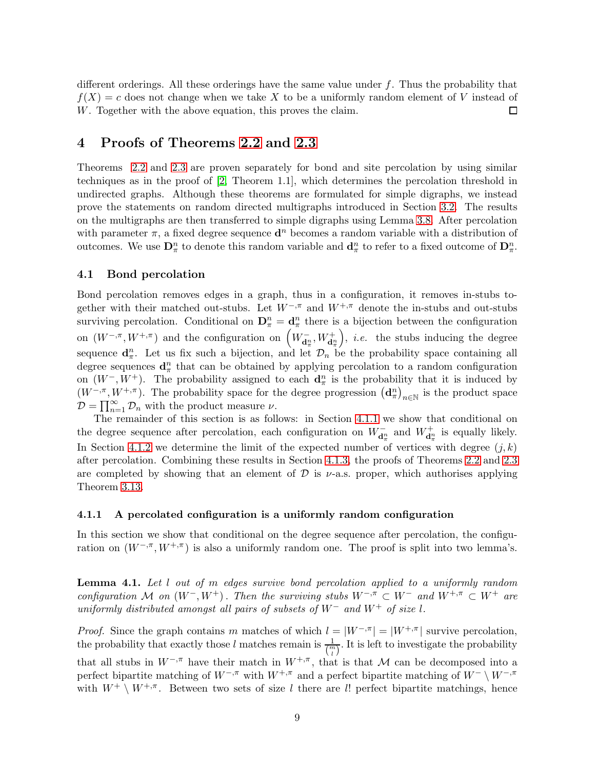different orderings. All these orderings have the same value under  $f$ . Thus the probability that  $f(X) = c$  does not change when we take X to be a uniformly random element of V instead of W. Together with the above equation, this proves the claim.  $\Box$ 

## <span id="page-8-0"></span>4 Proofs of Theorems [2.2](#page-2-0) and [2.3](#page-2-1)

Theorems [2.2](#page-2-0) and [2.3](#page-2-1) are proven separately for bond and site percolation by using similar techniques as in the proof of [\[2,](#page-22-1) Theorem 1.1], which determines the percolation threshold in undirected graphs. Although these theorems are formulated for simple digraphs, we instead prove the statements on random directed multigraphs introduced in Section [3.2.](#page-4-1) The results on the multigraphs are then transferred to simple digraphs using Lemma [3.8.](#page-5-3) After percolation with parameter  $\pi$ , a fixed degree sequence  $\mathbf{d}^n$  becomes a random variable with a distribution of outcomes. We use  $\mathbf{D}_{\pi}^n$  to denote this random variable and  $\mathbf{d}_{\pi}^n$  to refer to a fixed outcome of  $\mathbf{D}_{\pi}^n$ .

#### <span id="page-8-1"></span>4.1 Bond percolation

Bond percolation removes edges in a graph, thus in a configuration, it removes in-stubs together with their matched out-stubs. Let  $W^{-, \pi}$  and  $W^{+, \pi}$  denote the in-stubs and out-stubs surviving percolation. Conditional on  $\mathbf{D}_{\pi}^n = \mathbf{d}_{\pi}^n$  there is a bijection between the configuration on  $(W^{-,\pi}, W^{+,\pi})$  and the configuration on  $\left(W_{\mathbf{d}^n_{\pi}}, W_{\mathbf{d}^n_{\pi}}^+\right)$ ), *i.e.* the stubs inducing the degree sequence  $\mathbf{d}_{\pi}^n$ . Let us fix such a bijection, and let  $\mathcal{D}_n$  be the probability space containing all degree sequences  $\mathbf{d}_{\pi}^{n}$  that can be obtained by applying percolation to a random configuration on  $(W^-, W^+)$ . The probability assigned to each  $\mathbf{d}_{\pi}^n$  is the probability that it is induced by  $(W^{-,\pi}, W^{+,\pi})$ . The probability space for the degree progression  $(\mathbf{d}_{\pi}^{n})_{n\in\mathbb{N}}$  is the product space  $\mathcal{D} = \prod_{n=1}^{\infty} \mathcal{D}_n$  with the product measure  $\nu$ .

The remainder of this section is as follows: in Section [4.1.1](#page-8-2) we show that conditional on the degree sequence after percolation, each configuration on  $W_{\mathbf{d}_\pi^n}^-$  and  $W_{\mathbf{d}_\pi^n}^+$  is equally likely. In Section [4.1.2](#page-9-0) we determine the limit of the expected number of vertices with degree  $(j, k)$ after percolation. Combining these results in Section [4.1.3,](#page-11-0) the proofs of Theorems [2.2](#page-2-0) and [2.3](#page-2-1) are completed by showing that an element of  $\mathcal D$  is  $\nu$ -a.s. proper, which authorises applying Theorem [3.13.](#page-6-0)

#### <span id="page-8-2"></span>4.1.1 A percolated configuration is a uniformly random configuration

In this section we show that conditional on the degree sequence after percolation, the configuration on  $(W^{-,\pi}, W^{+,\pi})$  is also a uniformly random one. The proof is split into two lemma's.

<span id="page-8-3"></span>**Lemma 4.1.** Let l out of m edges survive bond percolation applied to a uniformly random configuration M on  $(W^-, W^+)$ . Then the surviving stubs  $W^{-,\pi} \subset W^-$  and  $W^{+,\pi} \subset W^+$  are uniformly distributed amongst all pairs of subsets of  $W^-$  and  $W^+$  of size l.

*Proof.* Since the graph contains m matches of which  $l = |W^{-,\pi}| = |W^{+,\pi}|$  survive percolation, the probability that exactly those l matches remain is  $\frac{1}{\binom{m}{l}}$ . It is left to investigate the probability that all stubs in  $W^{-,\pi}$  have their match in  $W^{+,\pi}$ , that is that M can be decomposed into a perfect bipartite matching of  $W^{-,\pi}$  with  $W^{+,\pi}$  and a perfect bipartite matching of  $W^{-}\setminus W^{-,\pi}$ with  $W^+ \setminus W^{+,\pi}$ . Between two sets of size l there are l! perfect bipartite matchings, hence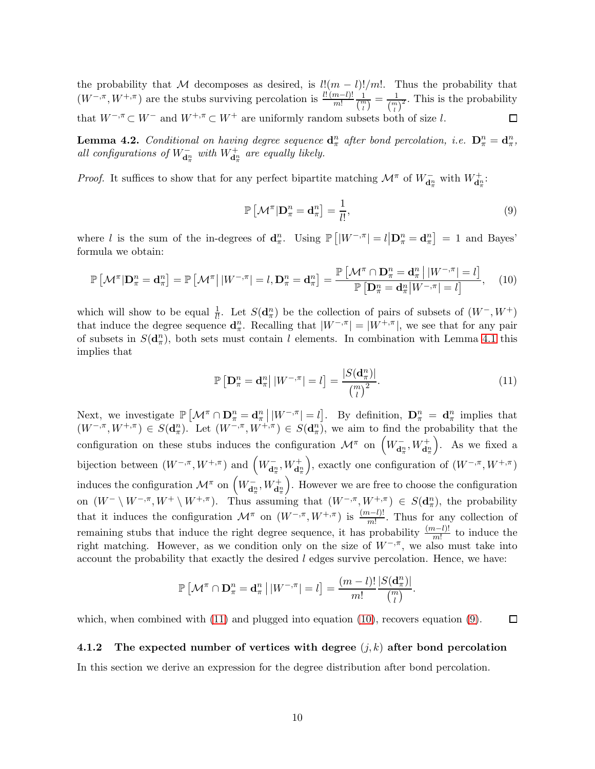the probability that M decomposes as desired, is  $l!(m-l)!/m!$ . Thus the probability that  $(W^{-,\pi}, W^{+,\pi})$  are the stubs surviving percolation is  $\frac{l!(m-l)!}{m!}$ 1  $\frac{1}{\binom{m}{l}} = \frac{1}{\binom{m}{l}^2}$ . This is the probability that  $W^{-,\pi} \subset W^{-}$  and  $W^{+,\pi} \subset W^{+}$  are uniformly random subsets both of size l.

<span id="page-9-4"></span>**Lemma 4.2.** Conditional on having degree sequence  $\mathbf{d}_{\pi}^n$  after bond percolation, i.e.  $\mathbf{D}_{\pi}^n = \mathbf{d}_{\pi}^n$ , all configurations of  $W_{\mathbf{d}_{\pi}^{n}}^{-}$  with  $W_{\mathbf{d}_{\pi}^{n}}^{+}$  are equally likely.

*Proof.* It suffices to show that for any perfect bipartite matching  $\mathcal{M}^{\pi}$  of  $W_{\mathbf{d}^{\pi}_{\pi}}^{-}$  with  $W_{\mathbf{d}^{\pi}_{\pi}}^{+}$ :

<span id="page-9-3"></span><span id="page-9-2"></span>
$$
\mathbb{P}\left[\mathcal{M}^{\pi}|\mathbf{D}_{\pi}^{n}=\mathbf{d}_{\pi}^{n}\right]=\frac{1}{l!},\tag{9}
$$

where *l* is the sum of the in-degrees of  $\mathbf{d}_{\pi}^n$ . Using  $\mathbb{P}\left[|W^{-,\pi}| = l \middle| \mathbf{D}_{\pi}^n = \mathbf{d}_{\pi}^n\right] = 1$  and Bayes' formula we obtain:

$$
\mathbb{P}\left[\mathcal{M}^{\pi}|\mathbf{D}_{\pi}^{n}=\mathbf{d}_{\pi}^{n}\right]=\mathbb{P}\left[\mathcal{M}^{\pi}\big|\,|W^{-,\pi}|=l,\mathbf{D}_{\pi}^{n}=\mathbf{d}_{\pi}^{n}\right]=\frac{\mathbb{P}\left[\mathcal{M}^{\pi}\cap\mathbf{D}_{\pi}^{n}=\mathbf{d}_{\pi}^{n}\,|\,|W^{-,\pi}|=l\right]}{\mathbb{P}\left[\mathbf{D}_{\pi}^{n}=\mathbf{d}_{\pi}^{n}\,|W^{-,\pi}|=l\right]},\quad(10)
$$

which will show to be equal  $\frac{1}{l!}$ . Let  $S(\mathbf{d}_{\pi}^n)$  be the collection of pairs of subsets of  $(W^-, W^+)$ that induce the degree sequence  $\mathbf{d}_{\pi}^n$ . Recalling that  $|W^{-,\pi}| = |W^{+,\pi}|$ , we see that for any pair of subsets in  $S(\mathbf{d}_{\pi}^n)$ , both sets must contain l elements. In combination with Lemma [4.1](#page-8-3) this implies that

<span id="page-9-1"></span>
$$
\mathbb{P}\left[\mathbf{D}_{\pi}^{n}=\mathbf{d}_{\pi}^{n}\right||W^{-,\pi}|=l]=\frac{|S(\mathbf{d}_{\pi}^{n})|}{\binom{m}{l}^{2}}.
$$
\n(11)

Next, we investigate  $\mathbb{P}\left[\mathcal{M}^{\pi}\cap\mathbf{D}_{\pi}^{n}=\mathbf{d}_{\pi}^{n}\,|\,|W^{-,\pi}|=l\right]$ . By definition,  $\mathbf{D}_{\pi}^{n}=\mathbf{d}_{\pi}^{n}$  implies that  $(W^{-,\pi}, W^{+,\pi}) \in S(\mathbf{d}_{\pi}^n)$ . Let  $(W^{-,\pi}, W^{+,\pi}) \in S(\mathbf{d}_{\pi}^n)$ , we aim to find the probability that the configuration on these stubs induces the configuration  $\mathcal{M}^{\pi}$  on  $\left(W_{\mathbf{d}^n_{\pi}}, W_{\mathbf{d}^n_{\pi}}^+\right)$  . As we fixed a bijection between  $(W^{-,\pi}, W^{+,\pi})$  and  $\left(W_{\mathbf{d}_{\pi}^{n}}^{-}, W_{\mathbf{d}_{\pi}^{n}}^{+}\right)$ ), exactly one configuration of  $(W^{-,\pi}, W^{+,\pi})$ induces the configuration  $\mathcal{M}^{\pi}$  on  $\left(W_{\mathbf{d}_{\pi}^{n}}^{-},W_{\mathbf{d}_{\pi}^{n}}^{+}\right)$  . However we are free to choose the configuration on  $(W^- \setminus W^{-,\pi}, W^+ \setminus W^{+,\pi})$ . Thus assuming that  $(W^{-,\pi}, W^{+,\pi}) \in S(\mathbf{d}_{\pi}^n)$ , the probability that it induces the configuration  $\mathcal{M}^{\pi}$  on  $(W^{-,\pi}, W^{+,\pi})$  is  $\frac{(m-l)!}{m!}$ . Thus for any collection of remaining stubs that induce the right degree sequence, it has probability  $\frac{(m-l)!}{m!}$  to induce the right matching. However, as we condition only on the size of  $W^{-, \pi}$ , we also must take into account the probability that exactly the desired l edges survive percolation. Hence, we have:

$$
\mathbb{P}\left[\mathcal{M}^{\pi}\cap\mathbf{D}_{\pi}^{n}=\mathbf{d}_{\pi}^{n}\,\big|\,|W^{-,\pi}|=l\right]=\frac{(m-l)!}{m!}\frac{|S(\mathbf{d}_{\pi}^{n})|}{\binom{m}{l}}.
$$

which, when combined with  $(11)$  and plugged into equation  $(10)$ , recovers equation  $(9)$ .  $\Box$ 

#### <span id="page-9-0"></span>4.1.2 The expected number of vertices with degree  $(j, k)$  after bond percolation

In this section we derive an expression for the degree distribution after bond percolation.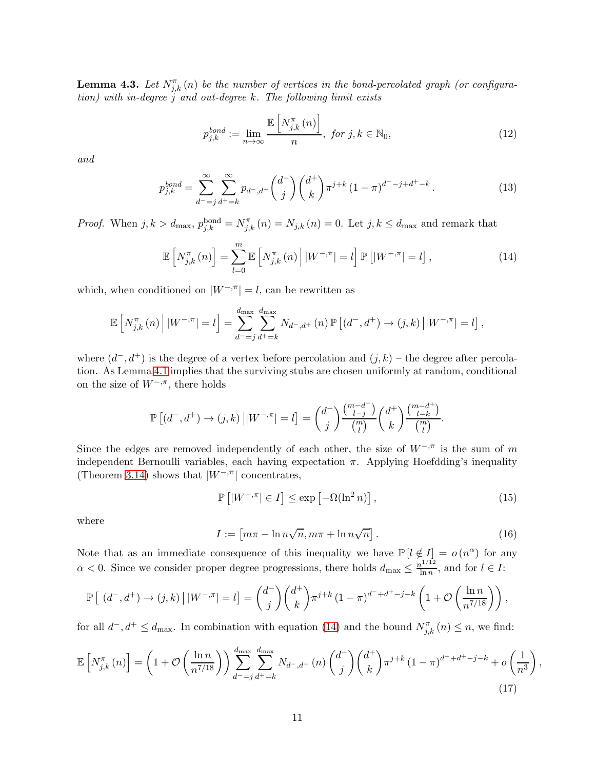<span id="page-10-4"></span>**Lemma 4.3.** Let  $N_{j,k}^{\pi}(n)$  be the number of vertices in the bond-percolated graph (or configura $tion)$  with in-degree j and out-degree k. The following limit exists

<span id="page-10-5"></span><span id="page-10-0"></span>
$$
p_{j,k}^{bond} := \lim_{n \to \infty} \frac{\mathbb{E}\left[N_{j,k}^{\pi}(n)\right]}{n}, \text{ for } j, k \in \mathbb{N}_0,
$$
\n(12)

and

$$
p_{j,k}^{bond} = \sum_{d^-=j}^{\infty} \sum_{d^+=k}^{\infty} p_{d^-,d^+} {d^- \choose j} {d^+ \choose k} \pi^{j+k} (1-\pi)^{d^--j+d^+-k}.
$$
 (13)

*Proof.* When  $j, k > d_{\text{max}}$ ,  $p_{j,k}^{\text{bond}} = N_{j,k}^{\pi}(n) = N_{j,k}(n) = 0$ . Let  $j, k \le d_{\text{max}}$  and remark that

$$
\mathbb{E}\left[N_{j,k}^{\pi}(n)\right] = \sum_{l=0}^{m} \mathbb{E}\left[N_{j,k}^{\pi}(n)\middle| |W^{-,\pi}| = l\right] \mathbb{P}\left[|W^{-,\pi}| = l\right],\tag{14}
$$

which, when conditioned on  $|W^{-,\pi}| = l$ , can be rewritten as

$$
\mathbb{E}\left[N_{j,k}^{\pi}(n) \middle| |W^{-,\pi}| = l\right] = \sum_{d^-=j}^{d_{\text{max}}} \sum_{d^+=k}^{d_{\text{max}}} N_{d^-,d^+}(n) \, \mathbb{P}\left[(d^-,d^+) \to (j,k) \middle| |W^{-,\pi}| = l\right],
$$

where  $(d^-, d^+)$  is the degree of a vertex before percolation and  $(j, k)$  – the degree after percolation. As Lemma [4.1](#page-8-3) implies that the surviving stubs are chosen uniformly at random, conditional on the size of  $W^{-, \pi}$ , there holds

$$
\mathbb{P}\left[(d^-,d^+)\to(j,k)\left||W^{-,\pi}\right|=l\right]=\binom{d^-}{j}\frac{\binom{m-d^-}{l-j}}{\binom{m}{l}}\binom{d^+}{k}\frac{\binom{m-d^+}{l-k}}{\binom{m}{l}}.
$$

Since the edges are removed independently of each other, the size of  $W^{-, \pi}$  is the sum of m independent Bernoulli variables, each having expectation  $\pi$ . Applying Hoefdding's inequality (Theorem [3.14\)](#page-6-2) shows that  $|W^{-,\pi}|$  concentrates,

<span id="page-10-3"></span>
$$
\mathbb{P}\left[|W^{-,\pi}| \in I\right] \le \exp\left[-\Omega(\ln^2 n)\right],\tag{15}
$$

where

<span id="page-10-2"></span><span id="page-10-1"></span>
$$
I := \left[ m\pi - \ln n\sqrt{n}, m\pi + \ln n\sqrt{n} \right].
$$
 (16)

Note that as an immediate consequence of this inequality we have  $\mathbb{P}\left[l \notin I\right] = o(n^{\alpha})$  for any  $\alpha$  < 0. Since we consider proper degree progressions, there holds  $d_{\max} \leq \frac{n^{1/12}}{\ln n}$  $\frac{l^{1/12}}{\ln n}$ , and for  $l \in I$ :

$$
\mathbb{P}\left[\left(d^-,d^+\right)\to(j,k)\,\big|\,|W^{-,\pi}|=l\right]=\binom{d^-}{j}\binom{d^+}{k}\pi^{j+k}\left(1-\pi\right)^{d^-+d^+-j-k}\left(1+\mathcal{O}\left(\frac{\ln n}{n^{7/18}}\right)\right),
$$

for all  $d^-, d^+ \leq d_{\text{max}}$ . In combination with equation [\(14\)](#page-10-0) and the bound  $N_{j,k}^{\pi}(n) \leq n$ , we find:

$$
\mathbb{E}\left[N_{j,k}^{\pi}(n)\right] = \left(1 + \mathcal{O}\left(\frac{\ln n}{n^{7/18}}\right)\right) \sum_{d^-=j}^{d_{\text{max}}} \sum_{d^+=k}^{d_{\text{max}}} N_{d^-,d^+}(n) \binom{d^-}{j} \binom{d^+}{k} \pi^{j+k} \left(1-\pi\right)^{d^-+d^+-j-k} + o\left(\frac{1}{n^3}\right),\tag{17}
$$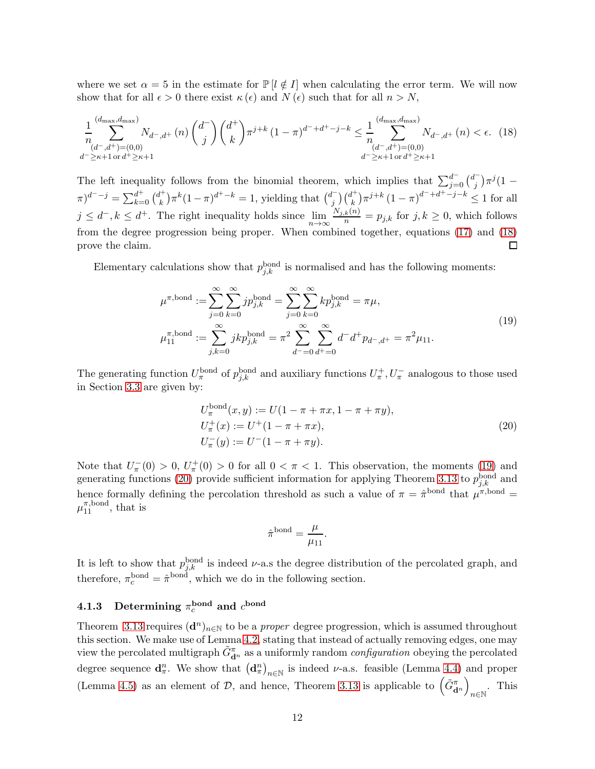where we set  $\alpha = 5$  in the estimate for  $\mathbb{P}[l \notin I]$  when calculating the error term. We will now show that for all  $\epsilon > 0$  there exist  $\kappa(\epsilon)$  and  $N(\epsilon)$  such that for all  $n > N$ ,

$$
\frac{1}{n} \sum_{\substack{(d^-,d^+)=(0,0)\\(d^-,d^+)=k+1}}^{(d_{\max},d_{\max})} N_{d^-,d^+}(n) \binom{d^+}{j} \binom{d^+}{k} \pi^{j+k} (1-\pi)^{d^-+d^+-j-k} \leq \frac{1}{n} \sum_{\substack{(d^-,d^+)=(0,0)\\(d^-,d^+)=(0,0)}}^{(d_{\max},d_{\max})} N_{d^-,d^+}(n) < \epsilon. \tag{18}
$$

The left inequality follows from the binomial theorem, which implies that  $\sum_{j=0}^{d^-} {\binom{d^-}{j}}$  $j^{(-)}$  $\pi^{j}$  $(1 (\pi)^{d^--j} = \sum_{k=0}^{d^+} {d^+ \choose k}$  ${k \choose k} \pi^k (1-\pi)^{d^+-k} = 1$ , yielding that  ${d^- \choose j}$  $j^{l-}\bigr) {\dfrac{d^+}{k}}$  $\binom{k}{k} \pi^{j+k} (1-\pi)^{d^{-}+d^{+}-j-k} \leq 1$  for all  $j \leq d^-, k \leq d^+$ . The right inequality holds since  $\lim_{n \to \infty} \frac{N_{j,k}(n)}{n} = p_{j,k}$  for  $j, k \geq 0$ , which follows from the degree progression being proper. When combined together, equations [\(17\)](#page-10-1) and [\(18\)](#page-11-1) prove the claim.  $\Box$ 

Elementary calculations show that  $p_{j,k}^{\text{bond}}$  is normalised and has the following moments:

<span id="page-11-2"></span><span id="page-11-1"></span>
$$
\mu^{\pi,\text{bond}} := \sum_{j=0}^{\infty} \sum_{k=0}^{\infty} j p_{j,k}^{\text{bond}} = \sum_{j=0}^{\infty} \sum_{k=0}^{\infty} k p_{j,k}^{\text{bond}} = \pi \mu,
$$
\n
$$
\mu_{11}^{\pi,\text{bond}} := \sum_{j,k=0}^{\infty} j k p_{j,k}^{\text{bond}} = \pi^2 \sum_{d^-=0}^{\infty} \sum_{d^+=0}^{\infty} d^{\pi} p_{d^-,d^+} = \pi^2 \mu_{11}.
$$
\n(19)

The generating function  $U_{\pi}^{\text{bond}}$  of  $p_{j,k}^{\text{bond}}$  and auxiliary functions  $U_{\pi}^+, U_{\pi}^-$  analogous to those used in Section [3.3](#page-5-0) are given by:

<span id="page-11-3"></span>
$$
U_{\pi}^{\text{bond}}(x, y) := U(1 - \pi + \pi x, 1 - \pi + \pi y),
$$
  
\n
$$
U_{\pi}^{+}(x) := U^{+}(1 - \pi + \pi x),
$$
  
\n
$$
U_{\pi}^{-}(y) := U^{-}(1 - \pi + \pi y).
$$
\n(20)

Note that  $U_{\pi}^{-}(0) > 0$ ,  $U_{\pi}^{+}(0) > 0$  for all  $0 < \pi < 1$ . This observation, the moments [\(19\)](#page-11-2) and generating functions [\(20\)](#page-11-3) provide sufficient information for applying Theorem [3.13](#page-6-0) to  $p_{j,k}^{\text{bond}}$  and hence formally defining the percolation threshold as such a value of  $\pi = \hat{\pi}^{bond}$  that  $\mu^{\pi, bond} =$  $\mu_{11}^{\pi, \text{bond}}, \text{ that is}$ 

$$
\hat{\pi}^{\text{bond}} = \frac{\mu}{\mu_{11}}.
$$

It is left to show that  $p_{j,k}^{\text{bond}}$  is indeed  $\nu$ -a.s the degree distribution of the percolated graph, and therefore,  $\pi_c^{\text{bond}} = \hat{\pi}^{\text{bond}}$ , which we do in the following section.

## <span id="page-11-0"></span>4.1.3 Determining  $\pi_c^{\rm bond}$  and  $c^{\rm bond}$

Theorem [3.13](#page-6-0) requires  $(d^n)_{n\in\mathbb{N}}$  to be a *proper* degree progression, which is assumed throughout this section. We make use of Lemma [4.2,](#page-9-4) stating that instead of actually removing edges, one may view the percolated multigraph  $\tilde{G}_{\mathbf{d}^n}^{\pi}$  as a uniformly random *configuration* obeying the percolated degree sequence  $\mathbf{d}_{\pi}^{n}$ . We show that  $(\mathbf{d}_{\pi}^{n})_{n\in\mathbb{N}}$  is indeed  $\nu$ -a.s. feasible (Lemma [4.4\)](#page-12-0) and proper (Lemma [4.5\)](#page-13-0) as an element of  $\mathcal{D}$ , and hence, Theorem [3.13](#page-6-0) is applicable to  $(\tilde{G}_{\mathbf{d}^n}^{\pi})$ . This  $n∈\mathbb{N}$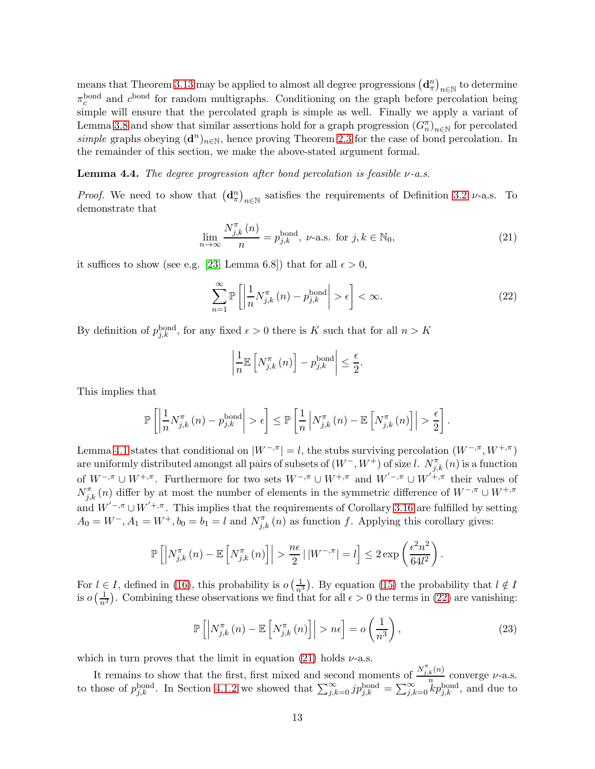means that Theorem [3.13](#page-6-0) may be applied to almost all degree progressions  $(d_\pi^n)_{n\in\mathbb{N}}$  to determine  $\pi_c^{\text{bond}}$  and  $c^{\text{bond}}$  for random multigraphs. Conditioning on the graph before percolation being simple will ensure that the percolated graph is simple as well. Finally we apply a variant of Lemma [3.8](#page-5-3) and show that similar assertions hold for a graph progression  $(G_n^{\pi})_{n\in\mathbb{N}}$  for percolated simple graphs obeying  $(d^n)_{n\in\mathbb{N}}$ , hence proving Theorem [2.3](#page-2-1) for the case of bond percolation. In the remainder of this section, we make the above-stated argument formal.

<span id="page-12-0"></span>**Lemma 4.4.** The degree progression after bond percolation is feasible  $\nu$ -a.s.

*Proof.* We need to show that  $(\mathbf{d}_{\pi}^{n})_{n\in\mathbb{N}}$  satisfies the requirements of Definition [3.2](#page-3-2) *v*-a.s. To demonstrate that

$$
\lim_{n \to \infty} \frac{N_{j,k}^{\pi}(n)}{n} = p_{j,k}^{\text{bond}}, \ \nu\text{-a.s. for } j, k \in \mathbb{N}_0,
$$
\n(21)

it suffices to show (see e.g. [\[23,](#page-24-3) Lemma 6.8]) that for all  $\epsilon > 0$ ,

<span id="page-12-2"></span>
$$
\sum_{n=1}^{\infty} \mathbb{P}\left[\left|\frac{1}{n}N_{j,k}^{\pi}(n) - p_{j,k}^{\text{bond}}\right| > \epsilon\right] < \infty.
$$
 (22)

By definition of  $p_{j,k}^{\text{bond}}$ , for any fixed  $\epsilon > 0$  there is K such that for all  $n > K$ 

<span id="page-12-1"></span>
$$
\left|\frac{1}{n}\mathbb{E}\left[N_{j,k}^{\pi}\left(n\right)\right]-p_{j,k}^{\text{bond}}\right|\leq\frac{\epsilon}{2}.
$$

This implies that

$$
\mathbb{P}\left[\left|\frac{1}{n}N_{j,k}^{\pi}\left(n\right)-p_{j,k}^{\text{bond}}\right|>\epsilon\right] \leq \mathbb{P}\left[\frac{1}{n}\left|N_{j,k}^{\pi}\left(n\right)-\mathbb{E}\left[N_{j,k}^{\pi}\left(n\right)\right]\right|>\frac{\epsilon}{2}\right].
$$

Lemma [4.1](#page-8-3) states that conditional on  $|W^{-,\pi}| = l$ , the stubs surviving percolation  $(W^{-,\pi}, W^{+,\pi})$ are uniformly distributed amongst all pairs of subsets of  $(W^-, W^+)$  of size l.  $N^{\pi}_{j,k}(n)$  is a function of  $W^{-,\pi} \cup W^{+,\pi}$ . Furthermore for two sets  $W^{-,\pi} \cup W^{+,\pi}$  and  $W'^{-,\pi} \cup W'^{+,\pi}$  their values of  $N_{j,k}^{\pi}(n)$  differ by at most the number of elements in the symmetric difference of  $W^{-,\pi} \cup W^{+,\pi}$ and  $W^{'-,\pi} \cup W^{'+,\pi}$ . This implies that the requirements of Corollary [3.16](#page-7-0) are fulfilled by setting  $A_0 = W^-, A_1 = W^+, b_0 = b_1 = l$  and  $N_{j,k}^{\pi}(n)$  as function f. Applying this corollary gives:

$$
\mathbb{P}\left[\left|N_{j,k}^{\pi}\left(n\right)-\mathbb{E}\left[N_{j,k}^{\pi}\left(n\right)\right]\right|>\frac{n\epsilon}{2}\left|\left|W^{-,\pi}\right|=l\right]\leq2\exp\left(\frac{\epsilon^2n^2}{64l^2}\right).
$$

For  $l \in I$ , defined in [\(16\)](#page-10-2), this probability is  $o\left(\frac{1}{n^3}\right)$ . By equation [\(15\)](#page-10-3) the probability that  $l \notin I$ is  $o\left(\frac{1}{n^3}\right)$ . Combining these observations we find that for all  $\epsilon > 0$  the terms in [\(22\)](#page-12-1) are vanishing:

<span id="page-12-3"></span>
$$
\mathbb{P}\left[\left|N_{j,k}^{\pi}\left(n\right)-\mathbb{E}\left[N_{j,k}^{\pi}\left(n\right)\right]\right|>n\epsilon\right]=o\left(\frac{1}{n^{3}}\right),\tag{23}
$$

which in turn proves that the limit in equation [\(21\)](#page-12-2) holds  $\nu$ -a.s.

It remains to show that the first, first mixed and second moments of  $\frac{N_{j,k}^{\pi}(n)}{n}$  $\frac{k^{(n)}}{n}$  converge  $\nu$ -a.s. to those of  $p_{j,k}^{\text{bond}}$ . In Section [4.1.2](#page-9-0) we showed that  $\sum_{j,k=0}^{\infty}jp_{j,k}^{\text{bond}} = \sum_{j,k=0}^{\infty}kp_{j,k}^{\text{bond}}$ , and due to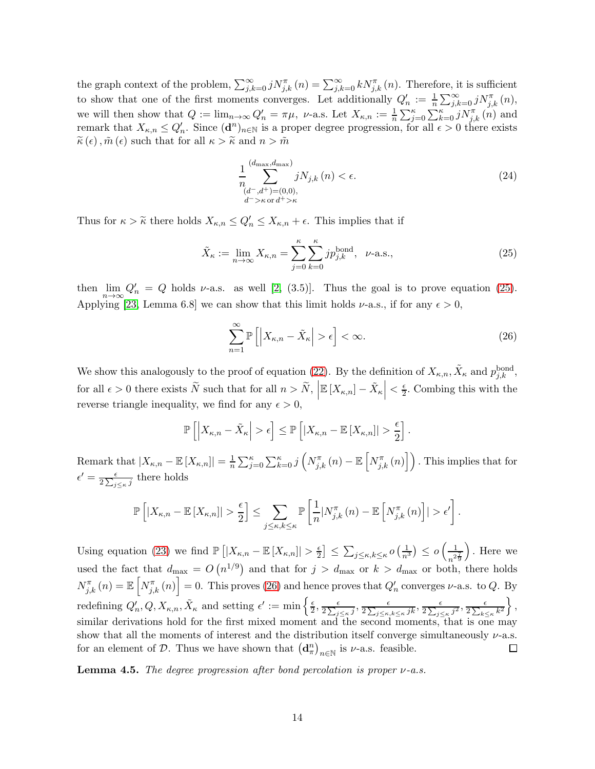the graph context of the problem,  $\sum_{j,k=0}^{\infty} j N^{\pi}_{j,k}(n) = \sum_{j,k=0}^{\infty} k N^{\pi}_{j,k}(n)$ . Therefore, it is sufficient to show that one of the first moments converges. Let additionally  $Q'_n := \frac{1}{n} \sum_{j,k=0}^{\infty} j N_{j,k}^{\pi}(n)$ , we will then show that  $Q := \lim_{n \to \infty} Q'_n = \pi \mu$ ,  $\nu$ -a.s. Let  $X_{\kappa,n} := \frac{1}{n} \sum_{j=0}^{\kappa} \sum_{k=0}^{\kappa} j N_{j,k}^{\pi}(n)$  and remark that  $X_{\kappa,n} \leq Q'_n$ . Since  $(\mathbf{d}^n)_{n \in \mathbb{N}}$  is a proper degree progression, for all  $\epsilon > 0$  there exists  $\widetilde{\kappa}(\epsilon), \widetilde{m}(\epsilon)$  such that for all  $\kappa > \widetilde{\kappa}$  and  $n > \widetilde{m}$ 

<span id="page-13-1"></span>
$$
\frac{1}{n} \sum_{\substack{(d^-,d^+)=(0,0),\\d^->k \text{ or } d^+>\kappa}}^{(d_{\max},d_{\max})} jN_{j,k}(n) < \epsilon. \tag{24}
$$

Thus for  $\kappa > \tilde{\kappa}$  there holds  $X_{\kappa,n} \leq Q'_n \leq X_{\kappa,n} + \epsilon$ . This implies that if

$$
\tilde{X}_{\kappa} := \lim_{n \to \infty} X_{\kappa, n} = \sum_{j=0}^{\kappa} \sum_{k=0}^{\kappa} j p_{j,k}^{\text{bond}}, \quad \nu\text{-a.s.,}
$$
\n(25)

then  $\lim_{n\to\infty} Q'_n = Q$  holds v-a.s. as well [\[2,](#page-22-1) (3.5)]. Thus the goal is to prove equation [\(25\)](#page-13-1). Applying [\[23,](#page-24-3) Lemma 6.8] we can show that this limit holds  $\nu$ -a.s., if for any  $\epsilon > 0$ ,

<span id="page-13-2"></span>
$$
\sum_{n=1}^{\infty} \mathbb{P}\left[ \left| X_{\kappa,n} - \tilde{X}_{\kappa} \right| > \epsilon \right] < \infty. \tag{26}
$$

We show this analogously to the proof of equation [\(22\)](#page-12-1). By the definition of  $X_{\kappa,n}$ ,  $\tilde{X}_{\kappa}$  and  $p_{j,k}^{\text{bond}}$ , for all  $\epsilon > 0$  there exists  $\widetilde{N}$  such that for all  $n > \widetilde{N}$ ,  $\left| \mathbb{E} [X_{\kappa,n}] - \widetilde{X}_{\kappa} \right| < \frac{\epsilon}{2}$  $\frac{\epsilon}{2}$ . Combing this with the reverse triangle inequality, we find for any  $\epsilon > 0$ ,

$$
\mathbb{P}\left[\left|X_{\kappa,n}-\tilde{X}_{\kappa}\right|>\epsilon\right]\leq \mathbb{P}\left[\left|X_{\kappa,n}-\mathbb{E}\left[X_{\kappa,n}\right]\right|>\frac{\epsilon}{2}\right].
$$

Remark that  $|X_{\kappa,n} - \mathbb{E}[X_{\kappa,n}]| = \frac{1}{n}$  $\frac{1}{n}\sum_{j=0}^{\kappa}\sum_{k=0}^{\kappa}j\left(N_{j,k}^{\pi}\left(n\right)-\mathbb{E}\left[N_{j,k}^{\pi}\left(n\right)\right]\right)$  . This implies that for  $\epsilon' = \frac{\epsilon}{2\Delta}$  $\frac{\epsilon}{2\sum_{j\leq\kappa}j}$  there holds

$$
\mathbb{P}\left[|X_{\kappa,n}-\mathbb{E}\left[X_{\kappa,n}\right]|>\frac{\epsilon}{2}\right]\leq \sum_{j\leq\kappa,k\leq\kappa}\mathbb{P}\left[\frac{1}{n}|N_{j,k}^{\pi}\left(n\right)-\mathbb{E}\left[N_{j,k}^{\pi}\left(n\right)\right]|>\epsilon'\right].
$$

 $\left[\frac{\epsilon}{2}\right] \leq \sum_{j \leq \kappa, k \leq \kappa} o\left(\frac{1}{n^3}\right) \leq o\left(\frac{1}{n^2}\right)$  . Here we Using equation [\(23\)](#page-12-3) we find  $\mathbb{P}\left[|X_{\kappa,n}-\mathbb{E}\left[X_{\kappa,n}\right]|\right] > \frac{\epsilon}{2}$  $n^2\frac{7}{9}$ used the fact that  $d_{\text{max}} = O(n^{1/9})$  and that for  $j > d_{\text{max}}$  or  $k > d_{\text{max}}$  or both, there holds  $N_{j,k}^{\pi}(n) = \mathbb{E}\left[N_{j,k}^{\pi}(n)\right] = 0.$  This proves [\(26\)](#page-13-2) and hence proves that  $Q'_n$  converges  $\nu$ -a.s. to  $Q$ . By redefining  $Q'_n, Q, X_{\kappa,n}, \tilde{X}_{\kappa}$  and setting  $\epsilon' := \min \left\{ \frac{\epsilon}{2} \right\}$  $\frac{\epsilon}{2\sum_{k\leq\kappa}k^2}\bigg\},$  $\frac{\epsilon}{2}, \frac{\epsilon}{2\sum_i}$  $\frac{\epsilon}{2\sum_{j\leq\kappa}j},\frac{\epsilon}{2\sum_{j\leq\kappa}j}$  $\frac{\epsilon}{2\sum_{j\leq\kappa,k\leq\kappa}jk},\frac{\epsilon}{2\sum_{j\leq\kappa}}$  $\frac{\epsilon}{2\sum_{j\leq\kappa}j^2},\frac{\epsilon}{2\sum_{k\leq j}}$ similar derivations hold for the first mixed moment and the second moments, that is one may show that all the moments of interest and the distribution itself converge simultaneously  $\nu$ -a.s. for an element of  $D$ . Thus we have shown that  $(\mathbf{d}_{\pi}^{n})_{n\in\mathbb{N}}$  is  $\nu$ -a.s. feasible.  $\Box$ 

<span id="page-13-0"></span>**Lemma 4.5.** The degree progression after bond percolation is proper  $\nu$ -a.s.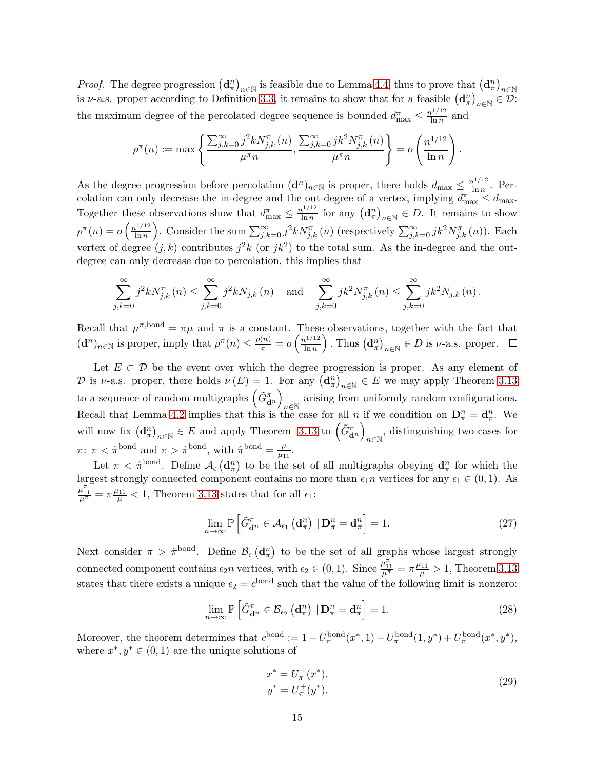*Proof.* The degree progression  $(\mathbf{d}_{\pi}^{n})_{n\in\mathbb{N}}$  is feasible due to Lemma [4.4,](#page-12-0) thus to prove that  $(\mathbf{d}_{\pi}^{n})_{n\in\mathbb{N}}$ is v-a.s. proper according to Definition [3.3,](#page-4-0) it remains to show that for a feasible  $(\mathbf{d}_{\pi}^n)_{n\in\mathbb{N}}\in\mathcal{D}$ : the maximum degree of the percolated degree sequence is bounded  $d_{\max}^{\pi} \leq \frac{n^{1/12}}{\ln n}$  $\frac{a^{1/12}}{\ln n}$  and

$$
\rho^{\pi}(n) := \max \left\{ \frac{\sum_{j,k=0}^{\infty} j^2 k N_{j,k}^{\pi}(n)}{\mu^{\pi} n}, \frac{\sum_{j,k=0}^{\infty} j k^2 N_{j,k}^{\pi}(n)}{\mu^{\pi} n} \right\} = o \left( \frac{n^{1/12}}{\ln n} \right).
$$

As the degree progression before percolation  $(d^n)_{n\in\mathbb{N}}$  is proper, there holds  $d_{\max} \leq \frac{n^{1/12}}{\ln n}$  $\frac{\ln n}{\ln n}$ . Percolation can only decrease the in-degree and the out-degree of a vertex, implying  $d_{\max}^{\pi} \leq d_{\max}$ . Together these observations show that  $d_{\max}^{\pi} \leq \frac{n^{1/12}}{\ln n}$  $\frac{\ln^{1/12}}{\ln n}$  for any  $(\mathbf{d}_{\pi}^n)_{n\in\mathbb{N}} \in D$ . It remains to show  $\rho^{\pi}(n) = o\left(\frac{n^{1/12}}{\ln n}\right)$  $\ln n$ ). Consider the sum  $\sum_{j,k=0}^{\infty} j^2 k N_{j,k}^{\pi}(n)$  (respectively  $\sum_{j,k=0}^{\infty} j k^2 N_{j,k}^{\pi}(n)$ ). Each vertex of degree  $(j, k)$  contributes  $j^2 k$  (or  $jk^2$ ) to the total sum. As the in-degree and the outdegree can only decrease due to percolation, this implies that

$$
\sum_{j,k=0}^{\infty} j^2 k N_{j,k}^{\pi}(n) \leq \sum_{j,k=0}^{\infty} j^2 k N_{j,k}(n) \text{ and } \sum_{j,k=0}^{\infty} j k^2 N_{j,k}^{\pi}(n) \leq \sum_{j,k=0}^{\infty} j k^2 N_{j,k}(n).
$$

Recall that  $\mu^{\pi, \text{bond}} = \pi \mu$  and  $\pi$  is a constant. These observations, together with the fact that  $(\mathbf{d}^n)_{n\in\mathbb{N}}$  is proper, imply that  $\rho^{\pi}(n) \leq \frac{\rho(n)}{\pi} = o\left(\frac{n^{1/12}}{\ln n}\right)$  $ln n$ ). Thus  $(\mathbf{d}_{\pi}^n)_{n\in\mathbb{N}} \in D$  is *v*-a.s. proper.

Let  $E \subset \mathcal{D}$  be the event over which the degree progression is proper. As any element of D is v-a.s. proper, there holds  $\nu(E) = 1$ . For any  $(\mathbf{d}_{\pi}^{n})_{n \in \mathbb{N}} \in E$  we may apply Theorem [3.13](#page-6-0) to a sequence of random multigraphs  $(\tilde{G}_{\mathbf{d}^n}^{\pi})$ arising from uniformly random configurations. Recall that Lemma [4.2](#page-9-4) implies that this is the case for all *n* if we condition on  $\mathbf{D}_{\pi}^{n} = \mathbf{d}_{\pi}^{n}$ . We will now fix  $(\mathbf{d}_{\pi}^n)_{n \in \mathbb{N}} \in E$  and apply Theorem [3.13](#page-6-0) to  $(\tilde{G}_{\mathbf{d}^n}^{\pi})$  $_{n\in\mathbb{N}}$ , distinguishing two cases for  $\pi: \pi < \hat{\pi}^{\text{bond}}$  and  $\pi > \hat{\pi}^{\text{bond}}$ , with  $\hat{\pi}^{\text{bond}} = \frac{\mu}{\mu}$  $\frac{\mu}{\mu_{11}}$ .

Let  $\pi < \hat{\pi}^{\text{bond}}$ . Define  $\mathcal{A}_{\epsilon} (\mathbf{d}_{\pi}^{n})$  to be the set of all multigraphs obeying  $\mathbf{d}_{\pi}^{n}$  for which the largest strongly connected component contains no more than  $\epsilon_1 n$  vertices for any  $\epsilon_1 \in (0, 1)$ . As  $\frac{\mu_{11}^{\pi}}{\mu^{\pi}} = \pi \frac{\mu_{11}}{\mu} < 1$ , Theorem [3.13](#page-6-0) states that for all  $\epsilon_1$ :

$$
\lim_{n \to \infty} \mathbb{P}\left[\tilde{G}_{\mathbf{d}^n}^{\pi} \in \mathcal{A}_{\epsilon_1} \left(\mathbf{d}_{\pi}^n\right) \mid \mathbf{D}_{\pi}^n = \mathbf{d}_{\pi}^n\right] = 1. \tag{27}
$$

Next consider  $\pi > \hat{\pi}^{bond}$ . Define  $\mathcal{B}_{\epsilon}(\mathbf{d}_{\pi}^{n})$  to be the set of all graphs whose largest strongly connected component contains  $\epsilon_2 n$  vertices, with  $\epsilon_2 \in (0,1)$ . Since  $\frac{\mu_{11}^{\pi}}{\mu^{\pi}} = \pi \frac{\mu_{11}}{\mu} > 1$ , Theorem [3.13](#page-6-0) states that there exists a unique  $\epsilon_2 = c^{\text{bond}}$  such that the value of the following limit is nonzero:

$$
\lim_{n \to \infty} \mathbb{P}\left[\tilde{G}_{\mathbf{d}^n}^{\pi} \in \mathcal{B}_{\epsilon_2} \left(\mathbf{d}_{\pi}^n\right) \mid \mathbf{D}_{\pi}^n = \mathbf{d}_{\pi}^n\right] = 1. \tag{28}
$$

Moreover, the theorem determines that  $c^{\text{bond}} := 1 - U_{\pi}^{\text{bond}}(x^*, 1) - U_{\pi}^{\text{bond}}(1, y^*) + U_{\pi}^{\text{bond}}(x^*, y^*),$ where  $x^*, y^* \in (0, 1)$  are the unique solutions of

<span id="page-14-2"></span><span id="page-14-1"></span><span id="page-14-0"></span>
$$
x^* = U_{\pi}^-(x^*),
$$
  
\n
$$
y^* = U_{\pi}^+(y^*),
$$
\n(29)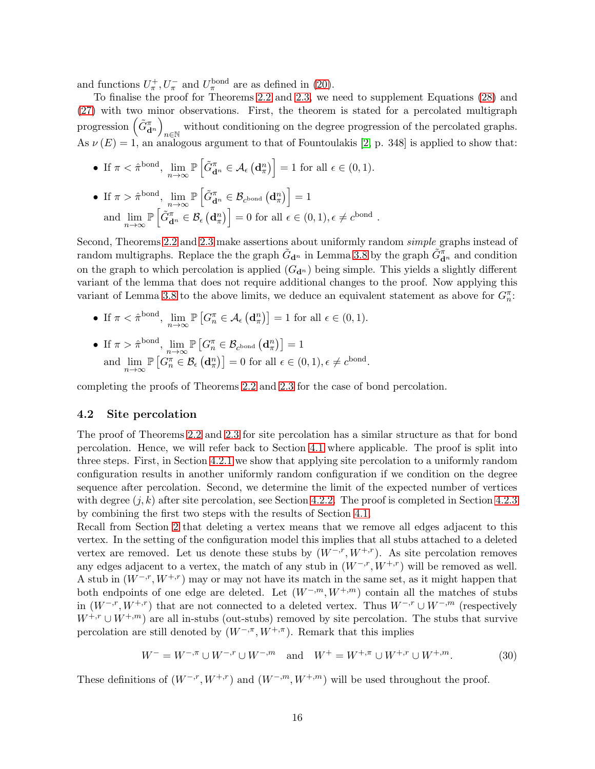and functions  $U_{\pi}^{+}$ ,  $U_{\pi}^{-}$  and  $U_{\pi}^{\text{bond}}$  are as defined in [\(20\)](#page-11-3).

To finalise the proof for Theorems [2.2](#page-2-0) and [2.3,](#page-2-1) we need to supplement Equations [\(28\)](#page-14-0) and [\(27\)](#page-14-1) with two minor observations. First, the theorem is stated for a percolated multigraph progression  $(\tilde{G}_{\mathbf{d}^n}^{\pi})$ without conditioning on the degree progression of the percolated graphs.<br> As  $\nu(E) = 1$ , an analogous argument to that of Fountoulakis [\[2,](#page-22-1) p. 348] is applied to show that:

- If  $\pi < \hat{\pi}^{\text{bond}}$ ,  $\lim_{n \to \infty} \mathbb{P}\left[\tilde{G}_{\mathbf{d}^n}^{\pi} \in \mathcal{A}_{\epsilon}(\mathbf{d}_{\pi}^n)\right] = 1$  for all  $\epsilon \in (0, 1)$ .
- If  $\pi > \hat{\pi}^{\text{bond}}, \lim_{n \to \infty} \mathbb{P}\left[\tilde{G}_{\mathbf{d}^n}^{\pi} \in \mathcal{B}_{c^{\text{bond}}}\left(\mathbf{d}_{\pi}^n\right)\right] = 1$ and  $\lim_{n\to\infty} \mathbb{P}\left[\tilde{G}_{\mathbf{d}^n}^{\pi} \in \mathcal{B}_{\epsilon}(\mathbf{d}_{\pi}^n)\right] = 0$  for all  $\epsilon \in (0,1), \epsilon \neq c^{\text{bond}}$ .

Second, Theorems [2.2](#page-2-0) and [2.3](#page-2-1) make assertions about uniformly random simple graphs instead of random multigraphs. Replace the the graph  $\tilde{G}_{\mathbf{d}^n}$  in Lemma [3.8](#page-5-3) by the graph  $\tilde{G}_{\mathbf{d}^n}^{\pi}$  and condition on the graph to which percolation is applied  $(G_{\mathbf{d}^n})$  being simple. This yields a slightly different variant of the lemma that does not require additional changes to the proof. Now applying this variant of Lemma [3.8](#page-5-3) to the above limits, we deduce an equivalent statement as above for  $G_n^{\pi}$ :

- If  $\pi < \hat{\pi}^{\text{bond}}$ ,  $\lim_{n \to \infty} \mathbb{P}\left[G_n^{\pi} \in \mathcal{A}_{\epsilon}(\mathbf{d}_{\pi}^n)\right] = 1$  for all  $\epsilon \in (0, 1)$ .
- If  $\pi > \hat{\pi}^{\text{bond}}, \lim_{n \to \infty} \mathbb{P}\left[G_n^{\pi} \in \mathcal{B}_{c^{\text{bond}}}\left(\mathbf{d}_{\pi}^{n}\right)\right] = 1$ and  $\lim_{n\to\infty} \mathbb{P}\left[G_n^{\pi} \in \mathcal{B}_{\epsilon}(\mathbf{d}_\pi^n)\right] = 0$  for all  $\epsilon \in (0,1), \epsilon \neq c^{\text{bond}}$ .

completing the proofs of Theorems [2.2](#page-2-0) and [2.3](#page-2-1) for the case of bond percolation.

#### <span id="page-15-0"></span>4.2 Site percolation

The proof of Theorems [2.2](#page-2-0) and [2.3](#page-2-1) for site percolation has a similar structure as that for bond percolation. Hence, we will refer back to Section [4.1](#page-8-1) where applicable. The proof is split into three steps. First, in Section [4.2.1](#page-16-0) we show that applying site percolation to a uniformly random configuration results in another uniformly random configuration if we condition on the degree sequence after percolation. Second, we determine the limit of the expected number of vertices with degree  $(j, k)$  after site percolation, see Section [4.2.2.](#page-17-0) The proof is completed in Section [4.2.3](#page-22-3) by combining the first two steps with the results of Section [4.1.](#page-8-1)

Recall from Section [2](#page-1-2) that deleting a vertex means that we remove all edges adjacent to this vertex. In the setting of the configuration model this implies that all stubs attached to a deleted vertex are removed. Let us denote these stubs by  $(W^{-,r}, W^{+,r})$ . As site percolation removes any edges adjacent to a vertex, the match of any stub in  $(W^{-,r}, W^{+,r})$  will be removed as well. A stub in  $(W^{-,r}, W^{+,r})$  may or may not have its match in the same set, as it might happen that both endpoints of one edge are deleted. Let  $(W^{-,m}, W^{+,m})$  contain all the matches of stubs in  $(W^{-,r}, W^{+,r})$  that are not connected to a deleted vertex. Thus  $W^{-,r} \cup W^{-,m}$  (respectively  $W^{+,r} \cup W^{+,m}$ ) are all in-stubs (out-stubs) removed by site percolation. The stubs that survive percolation are still denoted by  $(W^{-,\pi}, W^{+,\pi})$ . Remark that this implies

<span id="page-15-1"></span>
$$
W^- = W^{-,\pi} \cup W^{-,\,r} \cup W^{-,\,m} \quad \text{and} \quad W^+ = W^{+,\pi} \cup W^{+,\,r} \cup W^{+,\,m}.\tag{30}
$$

These definitions of  $(W^{-,r}, W^{+,r})$  and  $(W^{-,m}, W^{+,m})$  will be used throughout the proof.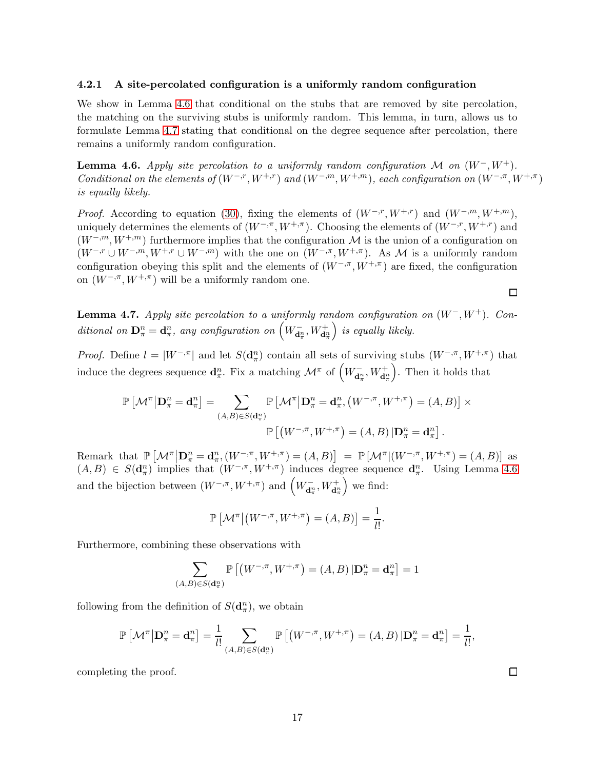#### <span id="page-16-0"></span>4.2.1 A site-percolated configuration is a uniformly random configuration

We show in Lemma [4.6](#page-16-1) that conditional on the stubs that are removed by site percolation, the matching on the surviving stubs is uniformly random. This lemma, in turn, allows us to formulate Lemma [4.7](#page-16-2) stating that conditional on the degree sequence after percolation, there remains a uniformly random configuration.

<span id="page-16-1"></span>**Lemma 4.6.** Apply site percolation to a uniformly random configuration M on  $(W^-, W^+)$ . Conditional on the elements of  $(W^{-,r}, W^{+,r})$  and  $(W^{-,m}, W^{+,m})$ , each configuration on  $(W^{-,\pi}, W^{+,\pi})$ is equally likely.

*Proof.* According to equation [\(30\)](#page-15-1), fixing the elements of  $(W^{-,r}, W^{+,r})$  and  $(W^{-,m}, W^{+,m})$ , uniquely determines the elements of  $(W^{-,\pi}, W^{+,\pi})$ . Choosing the elements of  $(W^{-,r}, W^{+,r})$  and  $(W^{-,m}, W^{+,m})$  furthermore implies that the configuration M is the union of a configuration on  $(W^{-,r} \cup W^{-,m}, W^{+,r} \cup W^{-,m})$  with the one on  $(W^{-,\pi}, W^{+,\pi})$ . As M is a uniformly random configuration obeying this split and the elements of  $(W^{-,\pi}, W^{+,\pi})$  are fixed, the configuration on  $(W^{-,\pi}, W^{+,\pi})$  will be a uniformly random one.

<span id="page-16-2"></span>**Lemma 4.7.** Apply site percolation to a uniformly random configuration on  $(W^-, W^+)$ . Conditional on  $\mathbf{D}_{\pi}^{n} = \mathbf{d}_{\pi}^{n}$ , any configuration on  $\left(W_{\mathbf{d}_{\pi}^{n}}^{-}, W_{\mathbf{d}_{\pi}^{n}}^{+}\right)$  $\big)$  is equally likely.

*Proof.* Define  $l = |W^{-,\pi}|$  and let  $S(\mathbf{d}_{\pi}^{n})$  contain all sets of surviving stubs  $(W^{-,\pi}, W^{+,\pi})$  that induce the degrees sequence  $\mathbf{d}_{\pi}^n$ . Fix a matching  $\mathcal{M}^{\pi}$  of  $\left(W_{\mathbf{d}_{\pi}^n}^-, W_{\mathbf{d}_{\pi}^n}^+\right)$ . Then it holds that

$$
\mathbb{P}\left[\mathcal{M}^{\pi}\middle|\mathbf{D}_{\pi}^{n}=\mathbf{d}_{\pi}^{n}\right]=\sum_{(A,B)\in S(\mathbf{d}_{\pi}^{n})}\mathbb{P}\left[\mathcal{M}^{\pi}\middle|\mathbf{D}_{\pi}^{n}=\mathbf{d}_{\pi}^{n},\left(W^{-,\pi},W^{+,\pi}\right)=(A,B)\right]\times
$$

$$
\mathbb{P}\left[\left(W^{-,\pi},W^{+,\pi}\right)=(A,B)\middle|\mathbf{D}_{\pi}^{n}=\mathbf{d}_{\pi}^{n}\right].
$$

Remark that  $\mathbb{P}\left[\mathcal{M}^{\pi}\big|\mathbf{D}_{\pi}^{n}=\mathbf{d}_{\pi}^{n},(W^{-,\pi},W^{+,\pi})=(A,B)\right] = \mathbb{P}\left[\mathcal{M}^{\pi}\big|(W^{-,\pi},W^{+,\pi})=(A,B)\right]$  as  $(A, B) \in S(\mathbf{d}_{\pi}^n)$  implies that  $(W^{-,\pi}, W^{+,\pi})$  induces degree sequence  $\mathbf{d}_{\pi}^n$ . Using Lemma [4.6](#page-16-1) and the bijection between  $(W^{-,\pi}, W^{+,\pi})$  and  $\left(W^{-}_{\mathbf{d}_{\pi}^{n}}, W^{+}_{\mathbf{d}_{\pi}^{n}}\right)$ we find:

$$
\mathbb{P}\left[\mathcal{M}^{\pi}\big|\big(W^{-,\pi},W^{+,\pi}\big)=(A,B)\right]=\frac{1}{l!}.
$$

Furthermore, combining these observations with

$$
\sum_{(A,B)\in S(\mathbf{d}_{\pi}^n)} \mathbb{P}\left[ \left( W^{-,\pi}, W^{+,\pi} \right) = (A,B) \left| \mathbf{D}_{\pi}^n = \mathbf{d}_{\pi}^n \right] = 1
$$

following from the definition of  $S(\mathbf{d}_{\pi}^n)$ , we obtain

$$
\mathbb{P}\left[\mathcal{M}^{\pi}\big|\mathbf{D}_{\pi}^{n}=\mathbf{d}_{\pi}^{n}\right]=\frac{1}{l!}\sum_{(A,B)\in S(\mathbf{d}_{\pi}^{n})}\mathbb{P}\left[\left(W^{-,\pi},W^{+,\pi}\right)=(A,B)\left|\mathbf{D}_{\pi}^{n}=\mathbf{d}_{\pi}^{n}\right]=\frac{1}{l!},
$$

completing the proof.

 $\Box$ 

 $\Box$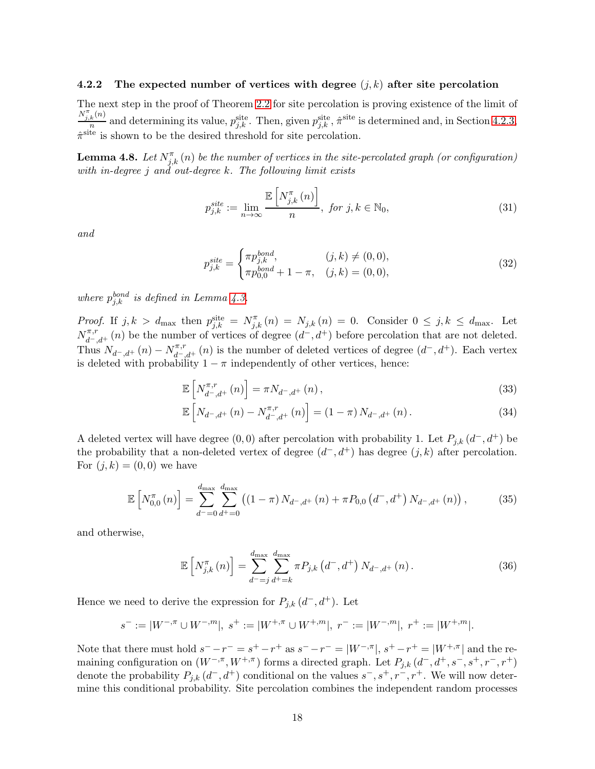#### <span id="page-17-0"></span>4.2.2 The expected number of vertices with degree  $(j, k)$  after site percolation

The next step in the proof of Theorem [2.2](#page-2-0) for site percolation is proving existence of the limit of  $N_{j,k}^{\pi}(n)$  $\frac{k^{(n)}}{n}$  and determining its value,  $p_{j,k}^{\text{site}}$ . Then, given  $p_{j,k}^{\text{site}}$ ,  $\hat{\pi}^{\text{site}}$  is determined and, in Section [4.2.3,](#page-22-3)  $\hat{\pi}^{\text{site}}$  is shown to be the desired threshold for site percolation.

**Lemma 4.8.** Let  $N_{j,k}^{\pi}(n)$  be the number of vertices in the site-percolated graph (or configuration) with in-degree j and out-degree k. The following limit exists

$$
p_{j,k}^{site} := \lim_{n \to \infty} \frac{\mathbb{E}\left[N_{j,k}^{\pi}(n)\right]}{n}, \text{ for } j, k \in \mathbb{N}_0,
$$
\n(31)

and

<span id="page-17-4"></span>
$$
p_{j,k}^{site} = \begin{cases} \pi p_{j,k}^{bond}, & (j,k) \neq (0,0), \\ \pi p_{0,0}^{bond} + 1 - \pi, & (j,k) = (0,0), \end{cases}
$$
(32)

where  $p_{j,k}^{bond}$  is defined in Lemma [4.3.](#page-10-4)

*Proof.* If  $j, k > d_{\text{max}}$  then  $p_{j,k}^{\text{site}} = N_{j,k}^{\pi}(n) = N_{j,k}(n) = 0$ . Consider  $0 \leq j, k \leq d_{\text{max}}$ . Let  $N_{d^-,d^+}^{\pi,r}(n)$  be the number of vertices of degree  $(d^-,d^+)$  before percolation that are not deleted. Thus  $N_{d^-,d^+}(n) - N_{d^-,d^+}^{\pi,r}(n)$  is the number of deleted vertices of degree  $(d^-,d^+)$ . Each vertex is deleted with probability  $1 - \pi$  independently of other vertices, hence:

<span id="page-17-1"></span>
$$
\mathbb{E}\left[N_{d^-,d^+}^{\pi,r}(n)\right] = \pi N_{d^-,d^+}(n)\,,\tag{33}
$$

$$
\mathbb{E}\left[N_{d^-,d^+}\left(n\right)-N_{d^-,d^+}^{\pi,r}\left(n\right)\right] = \left(1-\pi\right)N_{d^-,d^+}\left(n\right). \tag{34}
$$

A deleted vertex will have degree  $(0,0)$  after percolation with probability 1. Let  $P_{j,k}$   $(d^-,d^+)$  be the probability that a non-deleted vertex of degree  $(d^-, d^+)$  has degree  $(j, k)$  after percolation. For  $(j, k) = (0, 0)$  we have

$$
\mathbb{E}\left[N_{0,0}^{\pi}\left(n\right)\right] = \sum_{d^{-}=0}^{d_{\max}} \sum_{d^{+}=0}^{d_{\max}} \left(\left(1-\pi\right)N_{d^{-},d^{+}}\left(n\right) + \pi P_{0,0}\left(d^{-},d^{+}\right)N_{d^{-},d^{+}}\left(n\right)\right),\tag{35}
$$

and otherwise,

<span id="page-17-3"></span><span id="page-17-2"></span>
$$
\mathbb{E}\left[N_{j,k}^{\pi}(n)\right] = \sum_{d=-j}^{d_{\max}} \sum_{d^+ = k}^{d_{\max}} \pi P_{j,k}\left(d^-, d^+\right) N_{d^-,d^+}(n). \tag{36}
$$

Hence we need to derive the expression for  $P_{j,k}$   $(d^-, d^+)$ . Let

$$
s^- := |W^{-,\pi} \cup W^{-,m}|, \ s^+ := |W^{+,\pi} \cup W^{+,m}|, \ r^- := |W^{-,m}|, \ r^+ := |W^{+,m}|.
$$

Note that there must hold  $s^- - r^- = s^+ - r^+$  as  $s^- - r^- = |W^{-, \pi}|$ ,  $s^+ - r^+ = |W^{+, \pi}|$  and the remaining configuration on  $(W^{-,\pi}, W^{+,\pi})$  forms a directed graph. Let  $P_{j,k}$   $(d^-, d^+, s^-, s^+, r^-, r^+)$ denote the probability  $P_{j,k}(d^-,d^+)$  conditional on the values  $s^-, s^+, r^-, r^+$ . We will now determine this conditional probability. Site percolation combines the independent random processes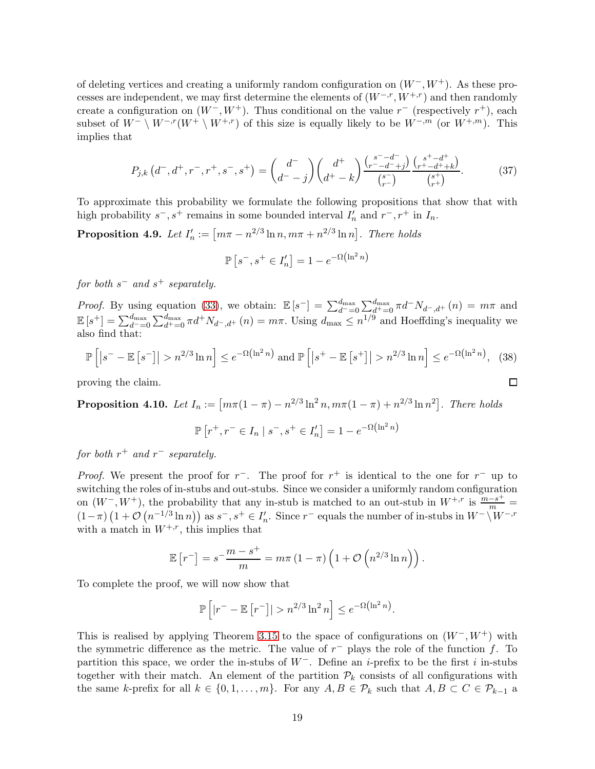of deleting vertices and creating a uniformly random configuration on  $(W^-, W^+)$ . As these processes are independent, we may first determine the elements of  $(W^{-,r}, W^{+,r})$  and then randomly create a configuration on  $(W^-, W^+)$ . Thus conditional on the value r<sup>-</sup> (respectively r<sup>+</sup>), each subset of  $W^- \setminus W^{-,r}(W^+ \setminus W^{+,r})$  of this size is equally likely to be  $W^{-,m}$  (or  $W^{+,m}$ ). This implies that

$$
P_{j,k}\left(d^-,d^+,r^-,r^+,s^-,s^+\right) = \binom{d^-}{d^--j}\binom{d^+}{d^+-k}\frac{\binom{s^--d^-}{r^--d^--j}}{\binom{s^-}{r^-}}\frac{\binom{s^+-d^+}{r^+-d^++k}}{\binom{s^+}{r^+}}.\tag{37}
$$

To approximate this probability we formulate the following propositions that show that with high probability  $s^-, s^+$  remains in some bounded interval  $I'_n$  and  $r^-, r^+$  in  $I_n$ .

<span id="page-18-1"></span>**Proposition 4.9.** Let  $I'_n := [m\pi - n^{2/3} \ln n, m\pi + n^{2/3} \ln n]$ . There holds

$$
\mathbb{P}\left[s^-, s^+ \in I'_n\right] = 1 - e^{-\Omega\left(\ln^2 n\right)}
$$

 $for\,\, both\,\, s^-\,\, and\,\, s^+\,\, separately.$ 

*Proof.* By using equation [\(33\)](#page-17-1), we obtain:  $\mathbb{E}[s^{-}] = \sum_{d=-0}^{d_{\text{max}}} \sum_{d^{+}=0}^{d_{\text{max}}} \pi d^{-} N_{d^{-},d^{+}}(n) = m\pi$  and  $\mathbb{E}[s^+] = \sum_{d^+=0}^{d_{\text{max}}} \sum_{d^+=0}^{d_{\text{max}}} \pi d^+ N_{d^-,d^+}(n) = m\pi$ . Using  $d_{\text{max}} \leq n^{1/9}$  and Hoeffding's inequality we also find that:

$$
\mathbb{P}\left[\left|s^{-}-\mathbb{E}\left[s^{-}\right]\right|>n^{2/3}\ln n\right]\leq e^{-\Omega\left(\ln^{2}n\right)}\text{ and }\mathbb{P}\left[\left|s^{+}-\mathbb{E}\left[s^{+}\right]\right|>n^{2/3}\ln n\right]\leq e^{-\Omega\left(\ln^{2}n\right)},\tag{38}
$$

<span id="page-18-0"></span> $\Box$ 

proving the claim.

<span id="page-18-2"></span>**Proposition 4.10.** Let  $I_n := [m\pi(1-\pi) - n^{2/3} \ln^2 n, m\pi(1-\pi) + n^{2/3} \ln n^2]$ . There holds

$$
\mathbb{P}\left[r^{+}, r^{-} \in I_n \mid s^{-}, s^{+} \in I'_n\right] = 1 - e^{-\Omega\left(\ln^2 n\right)}
$$

for both  $r^+$  and  $r^-$  separately.

*Proof.* We present the proof for  $r^-$ . The proof for  $r^+$  is identical to the one for  $r^-$  up to switching the roles of in-stubs and out-stubs. Since we consider a uniformly random configuration on  $(W^-, W^+)$ , the probability that any in-stub is matched to an out-stub in  $W^{+,r}$  is  $\frac{m-s^+}{m}$  $(1 - \pi) (1 + \mathcal{O}(n^{-1/3} \ln n))$  as  $s^-, s^+ \in I'_n$ . Since  $r^-$  equals the number of in-stubs in  $W^- \setminus W^{-,r}$ with a match in  $W^{+,r}$ , this implies that

$$
\mathbb{E}\left[r^{-}\right] = s^{-\frac{m-s^{+}}{m}} = m\pi \left(1-\pi\right) \left(1 + \mathcal{O}\left(n^{2/3} \ln n\right)\right).
$$

To complete the proof, we will now show that

$$
\mathbb{P}\left[|r^- - \mathbb{E}\left[r^-\right]| > n^{2/3} \ln^2 n\right] \leq e^{-\Omega\left(\ln^2 n\right)}.
$$

This is realised by applying Theorem [3.15](#page-7-2) to the space of configurations on  $(W^-, W^+)$  with the symmetric difference as the metric. The value of  $r^-$  plays the role of the function f. To partition this space, we order the in-stubs of  $W^-$ . Define an *i*-prefix to be the first *i* in-stubs together with their match. An element of the partition  $\mathcal{P}_k$  consists of all configurations with the same k-prefix for all  $k \in \{0, 1, \ldots, m\}$ . For any  $A, B \in \mathcal{P}_k$  such that  $A, B \subset C \in \mathcal{P}_{k-1}$  a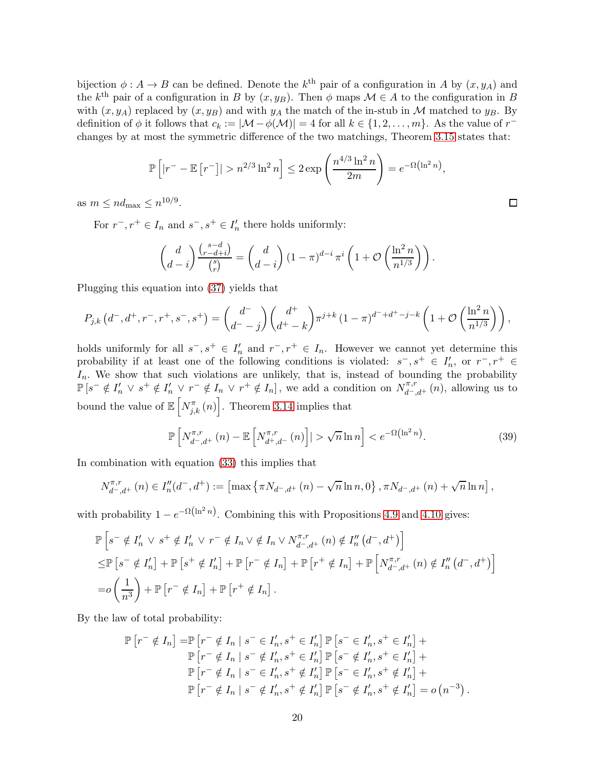bijection  $\phi: A \to B$  can be defined. Denote the  $k^{\text{th}}$  pair of a configuration in A by  $(x, y_A)$  and the k<sup>th</sup> pair of a configuration in B by  $(x, y_B)$ . Then  $\phi$  maps  $\mathcal{M} \in A$  to the configuration in B with  $(x, y_A)$  replaced by  $(x, y_B)$  and with  $y_A$  the match of the in-stub in M matched to  $y_B$ . By definition of  $\phi$  it follows that  $c_k := |\mathcal{M} - \phi(\mathcal{M})| = 4$  for all  $k \in \{1, 2, ..., m\}$ . As the value of  $r^{-}$ changes by at most the symmetric difference of the two matchings, Theorem [3.15](#page-7-2) states that:

$$
\mathbb{P}\left[|r^{-} - \mathbb{E}\left[r^{-}\right]| > n^{2/3} \ln^2 n\right] \le 2 \exp\left(\frac{n^{4/3} \ln^2 n}{2m}\right) = e^{-\Omega\left(\ln^2 n\right)},
$$

as  $m \leq nd_{\text{max}} \leq n^{10/9}$ .

For  $r^-, r^+ \in I_n$  and  $s^-, s^+ \in I'_n$  there holds uniformly:

$$
\begin{pmatrix} d \\ d-i \end{pmatrix} \frac{\binom{s-d}{r-d+i}}{\binom{s}{r}} = \binom{d}{d-i} \left(1 - \pi\right)^{d-i} \pi^i \left(1 + \mathcal{O}\left(\frac{\ln^2 n}{n^{1/3}}\right)\right).
$$

Plugging this equation into [\(37\)](#page-18-0) yields that

$$
P_{j,k}(d^-,d^+,r^-,r^+,s^-,s^+) = {d^-\choose d^--j}{d^+\choose d^+-k}\pi^{j+k}(1-\pi)^{d^-+d^+-j-k}\left(1+\mathcal{O}\left(\frac{\ln^2 n}{n^{1/3}}\right)\right),
$$

holds uniformly for all  $s^-, s^+ \in I_n'$  and  $r^-, r^+ \in I_n$ . However we cannot yet determine this probability if at least one of the following conditions is violated:  $s^-, s^+ \in I_n'$ , or  $r^-, r^+ \in$  $I_n$ . We show that such violations are unlikely, that is, instead of bounding the probability  $\mathbb{P}\left[s^{-} \notin I_{n}' \vee s^{+} \notin I_{n}' \vee r^{-} \notin I_{n} \vee r^{+} \notin I_{n}\right]$ , we add a condition on  $N_{d^-,d^+}^{\pi,r}(n)$ , allowing us to bound the value of  $\mathbb{E}\left[N_{j,k}^{\pi}(n)\right]$ . Theorem [3.14](#page-6-2) implies that

$$
\mathbb{P}\left[N_{d^-,d^+}^{\pi,r}(n) - \mathbb{E}\left[N_{d^+,d^-}^{\pi,r}(n)\right]\right| > \sqrt{n}\ln n\right] < e^{-\Omega\left(\ln^2 n\right)}.\tag{39}
$$

In combination with equation [\(33\)](#page-17-1) this implies that

$$
N_{d^-,d^+}^{\pi,r}(n) \in I''_n(d^-,d^+) := \left[\max\left\{\pi N_{d^-,d^+}(n) - \sqrt{n}\ln n,0\right\},\pi N_{d^-,d^+}(n) + \sqrt{n}\ln n\right],
$$

with probability  $1 - e^{-\Omega(\ln^2 n)}$ . Combining this with Propositions [4.9](#page-18-1) and [4.10](#page-18-2) gives:

$$
\mathbb{P}\left[s^{-} \notin I'_{n} \vee s^{+} \notin I'_{n} \vee r^{-} \notin I_{n} \vee \notin I_{n} \vee M_{d^{-},d^{+}}^{\pi,r}(n) \notin I''_{n}(d^{-},d^{+})\right] \leq \mathbb{P}\left[s^{-} \notin I'_{n}\right] + \mathbb{P}\left[s^{+} \notin I'_{n}\right] + \mathbb{P}\left[r^{-} \notin I_{n}\right] + \mathbb{P}\left[r^{+} \notin I_{n}\right] + \mathbb{P}\left[N_{d^{-},d^{+}}^{\pi,r}(n) \notin I''_{n}(d^{-},d^{+})\right] = o\left(\frac{1}{n^{3}}\right) + \mathbb{P}\left[r^{-} \notin I_{n}\right] + \mathbb{P}\left[r^{+} \notin I_{n}\right].
$$

By the law of total probability:

$$
\mathbb{P}\left[r^{-} \notin I_{n}\right] = \mathbb{P}\left[r^{-} \notin I_{n} \mid s^{-} \in I'_{n}, s^{+} \in I'_{n}\right] \mathbb{P}\left[s^{-} \in I'_{n}, s^{+} \in I'_{n}\right] +
$$

$$
\mathbb{P}\left[r^{-} \notin I_{n} \mid s^{-} \notin I'_{n}, s^{+} \in I'_{n}\right] \mathbb{P}\left[s^{-} \notin I'_{n}, s^{+} \in I'_{n}\right] +
$$

$$
\mathbb{P}\left[r^{-} \notin I_{n} \mid s^{-} \in I'_{n}, s^{+} \notin I'_{n}\right] \mathbb{P}\left[s^{-} \in I'_{n}, s^{+} \notin I'_{n}\right] +
$$

$$
\mathbb{P}\left[r^{-} \notin I_{n} \mid s^{-} \notin I'_{n}, s^{+} \notin I'_{n}\right] \mathbb{P}\left[s^{-} \notin I'_{n}, s^{+} \notin I'_{n}\right] = o\left(n^{-3}\right).
$$

<span id="page-19-0"></span> $\Box$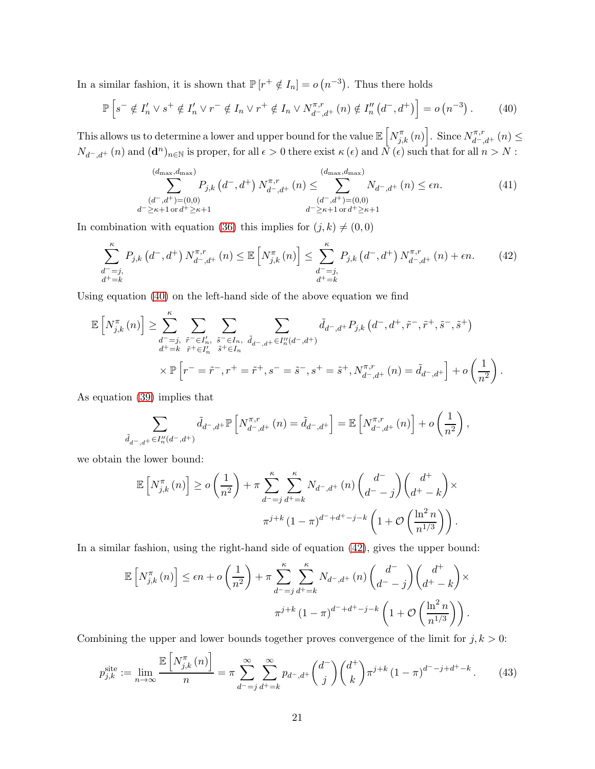In a similar fashion, it is shown that  $\mathbb{P}[r^+ \notin I_n] = o(n^{-3})$ . Thus there holds

$$
\mathbb{P}\left[s^{-} \notin I_{n}' \vee s^{+} \notin I_{n}' \vee r^{-} \notin I_{n} \vee r^{+} \notin I_{n} \vee N_{d^{-},d^{+}}^{\pi,r}(n) \notin I_{n}''\left(d^{-},d^{+}\right)\right] = o\left(n^{-3}\right). \tag{40}
$$

This allows us to determine a lower and upper bound for the value  $\mathbb{E}\left[N^{\pi}_{j,k}(n)\right]$ . Since  $N^{\pi,r}_{d^-,d^+}(n) \leq$  $N_{d^-,d^+}(n)$  and  $(\mathbf{d}^n)_{n\in\mathbb{N}}$  is proper, for all  $\epsilon>0$  there exist  $\kappa(\epsilon)$  and  $\tilde{N}(\epsilon)$  such that for all  $n>N$ :

<span id="page-20-1"></span><span id="page-20-0"></span>
$$
\sum_{\substack{(d^-,d^+)=(0,0)\\d^-\geq \kappa+1 \text{ or } d^+\geq \kappa+1}}^{(d_{\text{max}},d_{\text{max}})} P_{j,k}\left(d^-,d^+\right)N_{d^-,d^+}^{\pi,r}\left(n\right) \leq \sum_{\substack{(d^-,d^+)=(0,0)\\d^-\geq \kappa+1 \text{ or } d^+\geq \kappa+1}}^{(d_{\text{max}},d_{\text{max}})} N_{d^-,d^+}\left(n\right) \leq \epsilon n. \tag{41}
$$

In combination with equation [\(36\)](#page-17-2) this implies for  $(j, k) \neq (0, 0)$ 

$$
\sum_{\substack{d^+ = j, \\ d^+ = k}}^{\kappa} P_{j,k} \left( d^-, d^+ \right) N_{d^-,d^+}^{\pi,r} (n) \leq \mathbb{E} \left[ N_{j,k}^{\pi} \left( n \right) \right] \leq \sum_{\substack{d^+ = j, \\ d^+ = k}}^{\kappa} P_{j,k} \left( d^-, d^+ \right) N_{d^-,d^+}^{\pi,r} (n) + \epsilon n. \tag{42}
$$

Using equation [\(40\)](#page-20-0) on the left-hand side of the above equation we find

$$
\mathbb{E}\left[N_{j,k}^{\pi}(n)\right] \geq \sum_{\substack{d^-=j, \\ d^+=k}}^{\kappa} \sum_{\substack{\tilde{r}^-=l_n', \\ \tilde{r}^+=l_n' \\ \tilde{r}^+=l_n'}} \sum_{\substack{\tilde{s}^-=l_n, \\ \tilde{s}^+=l_n \\ \tilde{s}^+=l_n'}} \sum_{\tilde{d}_{d^-,d^+}\in I_n''(d^-,d^+)} \tilde{d}_{d^-,d^+} P_{j,k}\left(d^-,d^+,\tilde{r}^-,\tilde{r}^+,\tilde{s}^-,\tilde{s}^+\right) \\
\times \mathbb{P}\left[r^-=\tilde{r}^-,\tilde{r}^+=\tilde{r}^+,s^-=\tilde{s}^-,s^+=\tilde{s}^+,N_{d^-,d^+}^{\pi,r}(n)=\tilde{d}_{d^-,d^+}\right] + o\left(\frac{1}{n^2}\right).
$$

As equation [\(39\)](#page-19-0) implies that

$$
\sum_{\tilde{d}_{d^-,d^+}\in I''_n(d^-,d^+)}\tilde{d}_{d^-,d^+}\mathbb{P}\left[N_{d^-,d^+}^{\pi,r}(n)=\tilde{d}_{d^-,d^+}\right]=\mathbb{E}\left[N_{d^-,d^+}^{\pi,r}(n)\right]+o\left(\frac{1}{n^2}\right),
$$

we obtain the lower bound:

$$
\mathbb{E}\left[N_{j,k}^{\pi}(n)\right] \geq o\left(\frac{1}{n^2}\right) + \pi \sum_{d^-=j}^{\kappa} \sum_{d^+=k}^{\kappa} N_{d^-,d^+}(n) \binom{d^-}{d^--j} \binom{d^+}{d^+-k} \times
$$

$$
\pi^{j+k} \left(1-\pi\right)^{d^-+d^+-j-k} \left(1+\mathcal{O}\left(\frac{\ln^2 n}{n^{1/3}}\right)\right).
$$

In a similar fashion, using the right-hand side of equation [\(42\)](#page-20-1), gives the upper bound:

<span id="page-20-2"></span>
$$
\mathbb{E}\left[N_{j,k}^{\pi}(n)\right] \leq \epsilon n + o\left(\frac{1}{n^2}\right) + \pi \sum_{d^-=j}^{\kappa} \sum_{d^+=k}^{\kappa} N_{d^-,d^+}(n) \binom{d^+}{d^--j} \binom{d^+}{d^+-k} \times
$$

$$
\pi^{j+k} \left(1-\pi\right)^{d^-+d^+-j-k} \left(1+\mathcal{O}\left(\frac{\ln^2 n}{n^{1/3}}\right)\right).
$$

Combining the upper and lower bounds together proves convergence of the limit for  $j, k > 0$ :

$$
p_{j,k}^{\text{site}} := \lim_{n \to \infty} \frac{\mathbb{E}\left[N_{j,k}^{\pi}(n)\right]}{n} = \pi \sum_{d^-=j}^{\infty} \sum_{d^+=k}^{\infty} p_{d^-,d^+}\binom{d^-}{j}\binom{d^+}{k} \pi^{j+k} \left(1-\pi\right)^{d^--j+d^+-k}.
$$
 (43)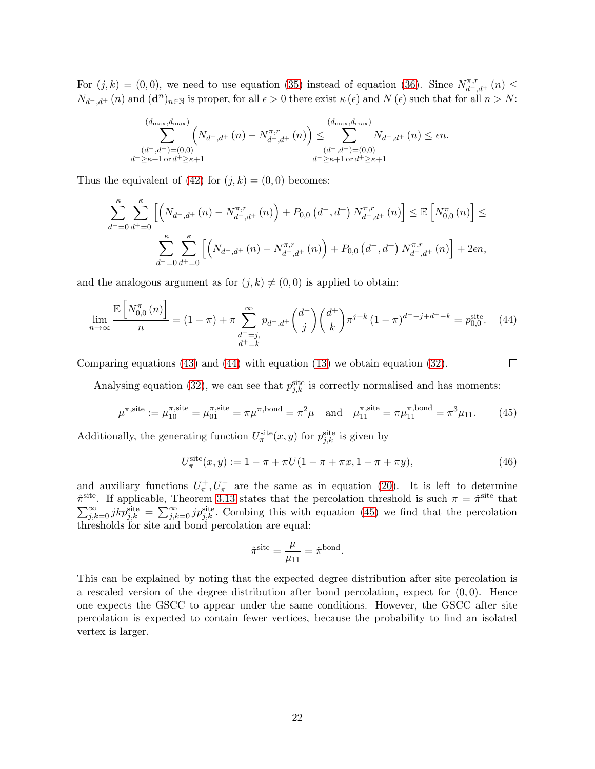For  $(j, k) = (0, 0)$ , we need to use equation [\(35\)](#page-17-3) instead of equation [\(36\)](#page-17-2). Since  $N_{d^-, d^+}^{\pi, r}(n) \le$  $N_{d^-,d^+}(n)$  and  $(\mathbf{d}^n)_{n\in\mathbb{N}}$  is proper, for all  $\epsilon>0$  there exist  $\kappa(\epsilon)$  and  $N(\epsilon)$  such that for all  $n>N$ :

$$
\sum_{\substack{(d^-,d^+)=(0,0)\\d^-\geq \kappa+1 \text{ or } d^+\geq \kappa+1}}^{(d_{\text{max}},d_{\text{max}})} \left(N_{d^-,d^+}(n) - N_{d^-,d^+}^{\pi,r}(n)\right) \leq \sum_{\substack{(d^-,d^+)=(0,0)\\d^-\geq \kappa+1 \text{ or } d^+\geq \kappa+1}}^{(d_{\text{max}},d_{\text{max}})} N_{d^-,d^+}(n) \leq \epsilon n.
$$

Thus the equivalent of [\(42\)](#page-20-1) for  $(j, k) = (0, 0)$  becomes:

$$
\sum_{d^{-}=0}^{\kappa} \sum_{d^{+}=0}^{\kappa} \left[ \left( N_{d^{-},d^{+}}\left( n\right) - N_{d^{-},d^{+}}^{\pi,r}\left( n\right) \right) + P_{0,0} \left( d^{-},d^{+} \right) N_{d^{-},d^{+}}^{\pi,r}\left( n\right) \right] \leq \mathbb{E} \left[ N_{0,0}^{\pi}\left( n\right) \right] \leq
$$
  

$$
\sum_{d^{-}=0}^{\kappa} \sum_{d^{+}=0}^{\kappa} \left[ \left( N_{d^{-},d^{+}}\left( n\right) - N_{d^{-},d^{+}}^{\pi,r}\left( n\right) \right) + P_{0,0} \left( d^{-},d^{+} \right) N_{d^{-},d^{+}}^{\pi,r}\left( n\right) \right] + 2\epsilon n,
$$

and the analogous argument as for  $(j, k) \neq (0, 0)$  is applied to obtain:

$$
\lim_{n \to \infty} \frac{\mathbb{E}\left[N_{0,0}^{\pi}(n)\right]}{n} = (1 - \pi) + \pi \sum_{\substack{d^- = j, \\ d^+ = k}}^{\infty} p_{d^-,d^+} \binom{d^-}{j} \binom{d^+}{k} \pi^{j+k} \left(1 - \pi\right)^{d^--j+d^+-k} = p_{0,0}^{\text{site}}.\tag{44}
$$

Comparing equations  $(43)$  and  $(44)$  with equation  $(13)$  we obtain equation  $(32)$ .

<span id="page-21-1"></span><span id="page-21-0"></span>
$$
\Box
$$

Analysing equation [\(32\)](#page-17-4), we can see that  $p_{j,k}^{\text{site}}$  is correctly normalised and has moments:

$$
\mu^{\pi,\text{site}} := \mu_{10}^{\pi,\text{site}} = \mu_{01}^{\pi,\text{site}} = \pi \mu^{\pi,\text{bond}} = \pi^2 \mu \quad \text{and} \quad \mu_{11}^{\pi,\text{site}} = \pi \mu_{11}^{\pi,\text{bond}} = \pi^3 \mu_{11}. \tag{45}
$$

Additionally, the generating function  $U^{\text{site}}_{\pi}(x, y)$  for  $p^{\text{site}}_{j,k}$  is given by

$$
U_{\pi}^{\text{site}}(x, y) := 1 - \pi + \pi U(1 - \pi + \pi x, 1 - \pi + \pi y), \tag{46}
$$

and auxiliary functions  $U^+_\pi, U^-_\pi$  are the same as in equation [\(20\)](#page-11-3). It is left to determine  $\hat{\pi}^{\text{site}}$ . If applicable, Theorem [3.13](#page-6-0) states that the percolation threshold is such  $\pi = \hat{\pi}^{\text{site}}$  that  $\sum_{j,k=0}^{\infty} jkp_{j,k}^{\text{site}} = \sum_{j,k=0}^{\infty} jp_{j,k}^{\text{site}}$ . Combing this with equation [\(45\)](#page-21-1) we find that the percolation thresholds for site and bond percolation are equal:

$$
\hat{\pi}^{\text{site}} = \frac{\mu}{\mu_{11}} = \hat{\pi}^{\text{bond}}.
$$

This can be explained by noting that the expected degree distribution after site percolation is a rescaled version of the degree distribution after bond percolation, expect for  $(0, 0)$ . Hence one expects the GSCC to appear under the same conditions. However, the GSCC after site percolation is expected to contain fewer vertices, because the probability to find an isolated vertex is larger.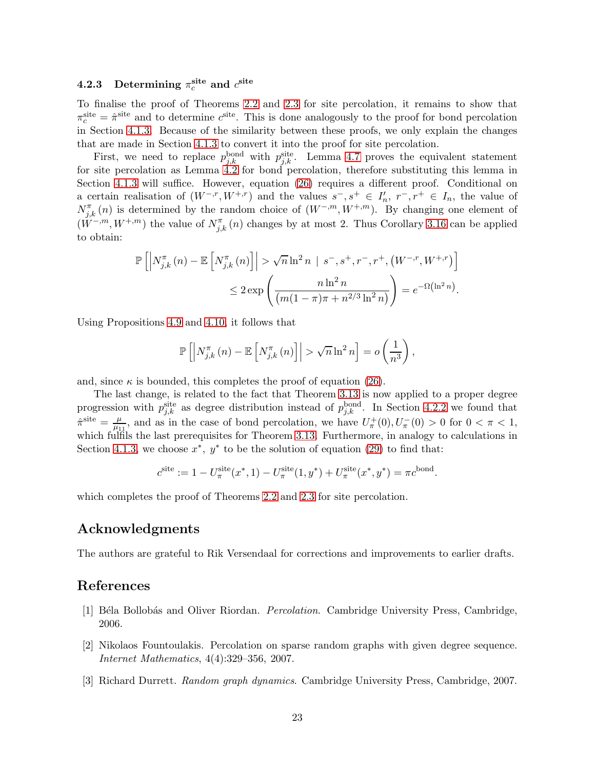## <span id="page-22-3"></span>4.2.3 Determining  $\pi_c^{\rm site}$  and  $c^{\rm site}$

To finalise the proof of Theorems [2.2](#page-2-0) and [2.3](#page-2-1) for site percolation, it remains to show that  $\pi_c^{\text{site}} = \hat{\pi}^{\text{site}}$  and to determine  $c^{\text{site}}$ . This is done analogously to the proof for bond percolation in Section [4.1.3.](#page-11-0) Because of the similarity between these proofs, we only explain the changes that are made in Section [4.1.3](#page-11-0) to convert it into the proof for site percolation.

First, we need to replace  $p_{j,k}^{\text{bond}}$  with  $p_{j,k}^{\text{site}}$ . Lemma [4.7](#page-16-2) proves the equivalent statement for site percolation as Lemma [4.2](#page-9-4) for bond percolation, therefore substituting this lemma in Section [4.1.3](#page-11-0) will suffice. However, equation [\(26\)](#page-13-2) requires a different proof. Conditional on a certain realisation of  $(W^{-,r}, W^{+,r})$  and the values  $s^-, s^+ \in I_n^{\prime}, r^-, r^+ \in I_n$ , the value of  $N_{j,k}^{\pi}(n)$  is determined by the random choice of  $(W^{-,m}, W^{+,m})$ . By changing one element of  $(\tilde{W}^{-,m}, W^{+,m})$  the value of  $N_{j,k}^{\pi}(n)$  changes by at most 2. Thus Corollary [3.16](#page-7-0) can be applied to obtain:

$$
\mathbb{P}\left[\left|N_{j,k}^{\pi}\left(n\right)-\mathbb{E}\left[N_{j,k}^{\pi}\left(n\right)\right]\right|>\sqrt{n}\ln^{2}n\mid s^{-},s^{+},r^{-},r^{+},\left(W^{-,r},W^{+,r}\right)\right]\right.\leq2\exp\left(\frac{n\ln^{2}n}{\left(m(1-\pi)\pi+n^{2/3}\ln^{2}n\right)}\right)=e^{-\Omega\left(\ln^{2}n\right)}.
$$

Using Propositions [4.9](#page-18-1) and [4.10,](#page-18-2) it follows that

$$
\mathbb{P}\left[\left|N_{j,k}^{\pi}\left(n\right)-\mathbb{E}\left[N_{j,k}^{\pi}\left(n\right)\right]\right|>\sqrt{n}\ln^{2}n\right]=o\left(\frac{1}{n^{3}}\right),
$$

and, since  $\kappa$  is bounded, this completes the proof of equation [\(26\)](#page-13-2).

The last change, is related to the fact that Theorem [3.13](#page-6-0) is now applied to a proper degree progression with  $p_{j,k}^{\text{site}}$  as degree distribution instead of  $p_{j,k}^{\text{bond}}$ . In Section [4.2.2](#page-17-0) we found that  $\hat{\pi}^{\text{site}} = \frac{\mu}{\mu_1}$  $\frac{\mu}{\mu_{11}}$ , and as in the case of bond percolation, we have  $U^+_\pi(0), U^-_\pi(0) > 0$  for  $0 < \pi < 1$ , which fulfils the last prerequisites for Theorem [3.13.](#page-6-0) Furthermore, in analogy to calculations in Section [4.1.3,](#page-11-0) we choose  $x^*$ ,  $y^*$  to be the solution of equation [\(29\)](#page-14-2) to find that:

$$
c^{\text{site}} := 1 - U^{\text{site}}_{\pi}(x^*, 1) - U^{\text{site}}_{\pi}(1, y^*) + U^{\text{site}}_{\pi}(x^*, y^*) = \pi c^{\text{bond}}.
$$

which completes the proof of Theorems [2.2](#page-2-0) and [2.3](#page-2-1) for site percolation.

## Acknowledgments

The authors are grateful to Rik Versendaal for corrections and improvements to earlier drafts.

### <span id="page-22-0"></span>References

- <span id="page-22-1"></span>[1] Béla Bollobás and Oliver Riordan. *Percolation*. Cambridge University Press, Cambridge, 2006.
- [2] Nikolaos Fountoulakis. Percolation on sparse random graphs with given degree sequence. Internet Mathematics, 4(4):329–356, 2007.
- <span id="page-22-2"></span>[3] Richard Durrett. Random graph dynamics. Cambridge University Press, Cambridge, 2007.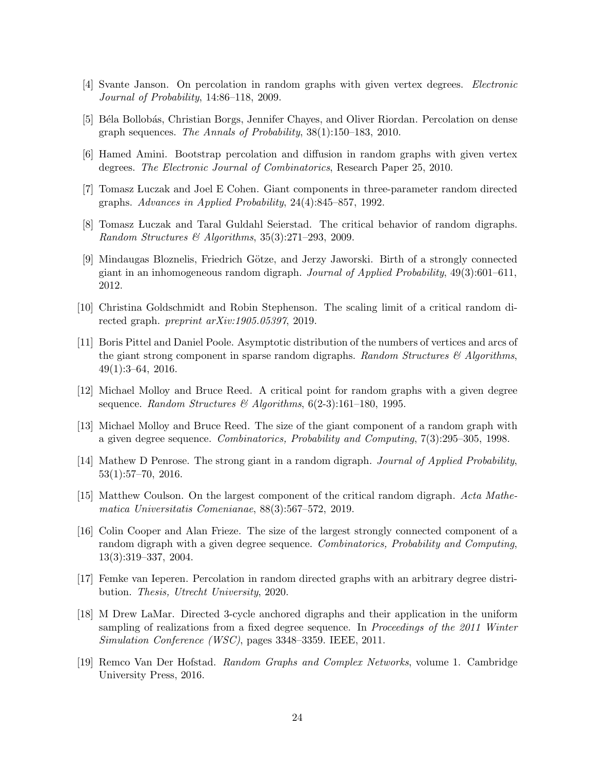- <span id="page-23-1"></span><span id="page-23-0"></span>[4] Svante Janson. On percolation in random graphs with given vertex degrees. Electronic Journal of Probability, 14:86–118, 2009.
- <span id="page-23-2"></span>[5] Béla Bollobás, Christian Borgs, Jennifer Chayes, and Oliver Riordan. Percolation on dense graph sequences. The Annals of Probability, 38(1):150–183, 2010.
- <span id="page-23-3"></span>[6] Hamed Amini. Bootstrap percolation and diffusion in random graphs with given vertex degrees. The Electronic Journal of Combinatorics, Research Paper 25, 2010.
- <span id="page-23-4"></span>[7] Tomasz Luczak and Joel E Cohen. Giant components in three-parameter random directed graphs. Advances in Applied Probability, 24(4):845–857, 1992.
- <span id="page-23-5"></span>[8] Tomasz Luczak and Taral Guldahl Seierstad. The critical behavior of random digraphs. Random Structures & Algorithms,  $35(3):271-293$ , 2009.
- [9] Mindaugas Bloznelis, Friedrich Götze, and Jerzy Jaworski. Birth of a strongly connected giant in an inhomogeneous random digraph. Journal of Applied Probability,  $49(3):601-611$ , 2012.
- <span id="page-23-7"></span><span id="page-23-6"></span>[10] Christina Goldschmidt and Robin Stephenson. The scaling limit of a critical random directed graph. preprint arXiv:1905.05397, 2019.
- [11] Boris Pittel and Daniel Poole. Asymptotic distribution of the numbers of vertices and arcs of the giant strong component in sparse random digraphs. Random Structures  $\mathcal{C}$  Algorithms, 49(1):3–64, 2016.
- <span id="page-23-9"></span><span id="page-23-8"></span>[12] Michael Molloy and Bruce Reed. A critical point for random graphs with a given degree sequence. Random Structures & Algorithms,  $6(2-3):161-180$ , 1995.
- [13] Michael Molloy and Bruce Reed. The size of the giant component of a random graph with a given degree sequence. Combinatorics, Probability and Computing, 7(3):295–305, 1998.
- <span id="page-23-10"></span>[14] Mathew D Penrose. The strong giant in a random digraph. Journal of Applied Probability, 53(1):57–70, 2016.
- <span id="page-23-11"></span>[15] Matthew Coulson. On the largest component of the critical random digraph. Acta Mathematica Universitatis Comenianae, 88(3):567–572, 2019.
- <span id="page-23-12"></span>[16] Colin Cooper and Alan Frieze. The size of the largest strongly connected component of a random digraph with a given degree sequence. Combinatorics, Probability and Computing, 13(3):319–337, 2004.
- <span id="page-23-14"></span><span id="page-23-13"></span>[17] Femke van Ieperen. Percolation in random directed graphs with an arbitrary degree distribution. Thesis, Utrecht University, 2020.
- [18] M Drew LaMar. Directed 3-cycle anchored digraphs and their application in the uniform sampling of realizations from a fixed degree sequence. In *Proceedings of the 2011 Winter* Simulation Conference (WSC), pages 3348–3359. IEEE, 2011.
- <span id="page-23-15"></span>[19] Remco Van Der Hofstad. Random Graphs and Complex Networks, volume 1. Cambridge University Press, 2016.